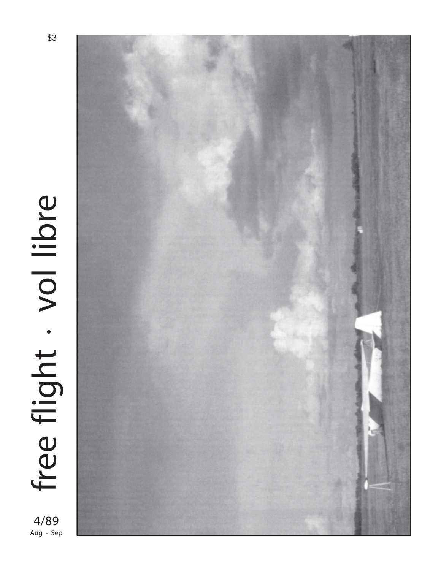

Aug - Sep



\$3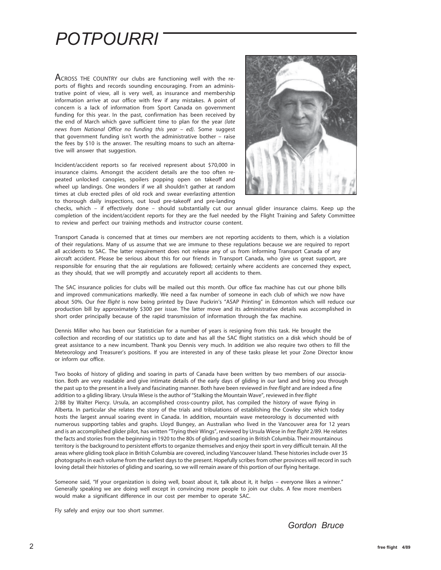## *POTPOURRI*

ACROSS THE COUNTRY our clubs are functioning well with the reports of flights and records sounding encouraging. From an administrative point of view, all is very well, as insurance and membership information arrive at our office with few if any mistakes. A point of concern is a lack of information from Sport Canada on government funding for this year. In the past, confirmation has been received by the end of March which gave sufficient time to plan for the year *(late news from National Office no funding this year – ed)*. Some suggest that government funding isn't worth the administrative bother – raise the fees by \$10 is the answer. The resulting moans to such an alternative will answer that suggestion.

Incident/accident reports so far received represent about \$70,000 in insurance claims. Amongst the accident details are the too often repeated unlocked canopies, spoilers popping open on takeoff and wheel up landings. One wonders if we all shouldn't gather at random times at club erected piles of old rock and swear everlasting attention to thorough daily inspections, out loud pre-takeoff and pre-landing



checks, which – if effectively done – should substantially cut our annual glider insurance claims. Keep up the completion of the incident/accident reports for they are the fuel needed by the Flight Training and Safety Committee to review and perfect our training methods and instructor course content.

Transport Canada is concerned that at times our members are not reporting accidents to them, which is a violation of their regulations. Many of us assume that we are immune to these regulations because we are required to report all accidents to SAC. The latter requirement does not release any of us from informing Transport Canada of any aircraft accident. Please be serious about this for our friends in Transport Canada, who give us great support, are responsible for ensuring that the air regulations are followed; certainly where accidents are concerned they expect, as they should, that we will promptly and accurately report all accidents to them.

The SAC insurance policies for clubs will be mailed out this month. Our office fax machine has cut our phone bills and improved communications markedly. We need a fax number of someone in each club of which we now have about 50%. Our *free flight* is now being printed by Dave Puckrin's "ASAP Printing" in Edmonton which will reduce our production bill by approximately \$300 per issue. The latter move and its administrative details was accomplished in short order principally because of the rapid transmission of information through the fax machine.

Dennis Miller who has been our Statistician for a number of years is resigning from this task. He brought the collection and recording of our statistics up to date and has all the SAC flight statistics on a disk which should be of great assistance to a new incumbent. Thank you Dennis very much. In addition we also require two others to fill the Meteorology and Treasurer's positions. If you are interested in any of these tasks please let your Zone Director know or inform our office.

Two books of history of gliding and soaring in parts of Canada have been written by two members of our association. Both are very readable and give intimate details of the early days of gliding in our land and bring you through the past up to the present in a lively and fascinating manner. Both have been reviewed in *free flight* and are indeed a fine addition to a gliding library. Ursula Wiese is the author of "Stalking the Mountain Wave", reviewed in *free flight* 2/88 by Walter Piercy. Ursula, an accomplished cross-country pilot, has compiled the history of wave flying in Alberta. In particular she relates the story of the trials and tribulations of establishing the Cowley site which today hosts the largest annual soaring event in Canada. In addition, mountain wave meteorology is documented with numerous supporting tables and graphs. Lloyd Bungey, an Australian who lived in the Vancouver area for 12 years and is an accomplished glider pilot, has written "Trying their Wings", reviewed by Ursula Wiese in *free flight* 2/89. He relates the facts and stories from the beginning in 1920 to the 80s of gliding and soaring in British Columbia. Their mountainous territory is the background to persistent efforts to organize themselves and enjoy their sport in very difficult terrain. All the areas where gliding took place in British Columbia are covered, including Vancouver Island. These histories include over 35 photographs in each volume from the earliest days to the present. Hopefully scribes from other provinces will record in such loving detail their histories of gliding and soaring, so we will remain aware of this portion of our flying heritage.

Someone said, "If your organization is doing well, boast about it, talk about it, it helps – everyone likes a winner." Generally speaking we are doing well except in convincing more people to join our clubs. A few more members would make a significant difference in our cost per member to operate SAC.

Fly safely and enjoy our too short summer.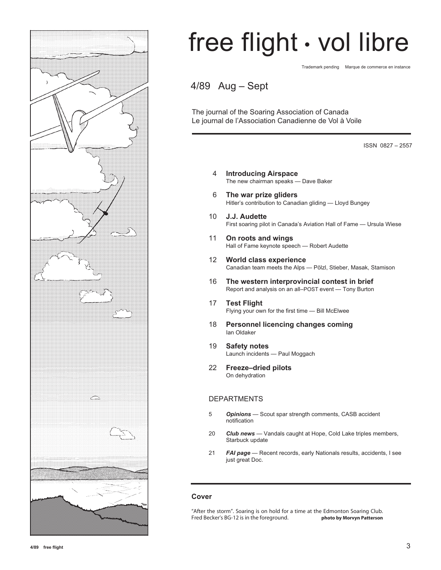

# free flight • vol libre

Trademark pending Marque de commerce en instance

4/89 Aug – Sept

The journal of the Soaring Association of Canada Le journal de l'Association Canadienne de Vol à Voile

ISSN 0827 – 2557

- 4 **Introducing Airspace** The new chairman speaks — Dave Baker
- 6 **The war prize gliders** Hitler's contribution to Canadian gliding — Lloyd Bungey
- 10 **J.J. Audette** First soaring pilot in Canada's Aviation Hall of Fame — Ursula Wiese
- 11 **On roots and wings** Hall of Fame keynote speech — Robert Audette
- 12 **World class experience** Canadian team meets the Alps — Pölzl, Stieber, Masak, Stamison
- 16 **The western interprovincial contest in brief** Report and analysis on an all–POST event — Tony Burton
- 17 **Test Flight** Flying your own for the first time — Bill McElwee
- 18 **Personnel licencing changes coming** Ian Oldaker
- 19 **Safety notes** Launch incidents — Paul Moggach
- 22 **Freeze–dried pilots** On dehydration

#### DEPARTMENTS

- 5 *Opinions* Scout spar strength comments, CASB accident notification
- 20 *Club news*  Vandals caught at Hope, Cold Lake triples members, Starbuck update
- 21 *FAI page* Recent records, early Nationals results, accidents, I see just great Doc.

#### **Cover**

"After the storm". Soaring is on hold for a time at the Edmonton Soaring Club. Fred Becker's BG-12 is in the foreground. **photo by Morvyn Patterson**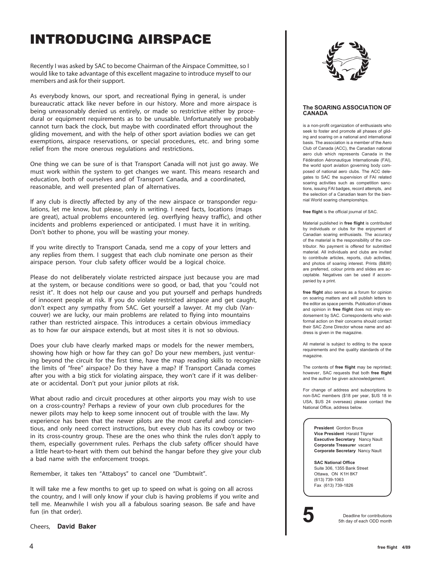## **INTRODUCING AIRSPACE**

Recently I was asked by SAC to become Chairman of the Airspace Committee, so I would like to take advantage of this excellent magazine to introduce myself to our members and ask for their support.

As everybody knows, our sport, and recreational flying in general, is under bureaucratic attack like never before in our history. More and more airspace is being unreasonably denied us entirely, or made so restrictive either by procedural or equipment requirements as to be unusable. Unfortunately we probably cannot turn back the clock, but maybe with coordinated effort throughout the gliding movement, and with the help of other sport aviation bodies we can get exemptions, airspace reservations, or special procedures, etc. and bring some relief from the more onerous regulations and restrictions.

One thing we can be sure of is that Transport Canada will not just go away. We must work within the system to get changes we want. This means research and education, both of ourselves and of Transport Canada, and a coordinated, reasonable, and well presented plan of alternatives.

If any club is directly affected by any of the new airspace or transponder regulations, let me know, but please, only in writing. I need facts, locations (maps are great), actual problems encountered (eg. overflying heavy traffic), and other incidents and problems experienced or anticipated. I must have it in writing. Don't bother to phone, you will be wasting your money.

If you write directly to Transport Canada, send me a copy of your letters and any replies from them. I suggest that each club nominate one person as their airspace person. Your club safety officer would be a logical choice.

Please do not deliberately violate restricted airspace just because you are mad at the system, or because conditions were so good, or bad, that you "could not resist it". It does not help our cause and you put yourself and perhaps hundreds of innocent people at risk. If you do violate restricted airspace and get caught, don't expect any sympathy from SAC. Get yourself a lawyer. At my club (Vancouver) we are lucky, our main problems are related to flying into mountains rather than restricted airspace. This introduces a certain obvious immediacy as to how far our airspace extends, but at most sites it is not so obvious.

Does your club have clearly marked maps or models for the newer members, showing how high or how far they can go? Do your new members, just venturing beyond the circuit for the first time, have the map reading skills to recognize the limits of "free" airspace? Do they have a map? If Transport Canada comes after you with a big stick for violating airspace, they won't care if it was deliberate or accidental. Don't put your junior pilots at risk.

What about radio and circuit procedures at other airports you may wish to use on a cross-country? Perhaps a review of your own club procedures for the newer pilots may help to keep some innocent out of trouble with the law. My experience has been that the newer pilots are the most careful and conscientious, and only need correct instructions, but every club has its cowboy or two in its cross-country group. These are the ones who think the rules don't apply to them, especially government rules. Perhaps the club safety officer should have a little heart-to-heart with them out behind the hangar before they give your club a bad name with the enforcement troops.

Remember, it takes ten "Attaboys" to cancel one "Dumbtwit".

It will take me a few months to get up to speed on what is going on all across the country, and I will only know if your club is having problems if you write and tell me. Meanwhile I wish you all a fabulous soaring season. Be safe and have fun (in that order).

Cheers, **David Baker**



#### **The SOARING ASSOCIATION OF CANADA**

is a non-profit organization of enthusiasts who seek to foster and promote all phases of gliding and soaring on a national and international basis. The association is a member of the Aero Club of Canada (ACC), the Canadian national aero club which represents Canada in the Fédération Aéronautique Internationale (FAI), the world sport aviation governing body composed of national aero clubs. The ACC delegates to SAC the supervision of FAI related soaring activities such as competition sanctions, issuing FAI badges, record attempts, and the selection of a Canadian team for the biennial World soaring championships.

**free flight** is the official journal of SAC.

Material published in **free flight** is contributed by individuals or clubs for the enjoyment of Canadian soaring enthusiasts. The accuracy of the material is the responsibility of the contributor. No payment is offered for submitted material. All individuals and clubs are invited to contribute articles, reports, club activities, and photos of soaring interest. Prints (B&W) are preferred, colour prints and slides are acceptable. Negatives can be used if accompanied by a print.

**free flight** also serves as a forum for opinion on soaring matters and will publish letters to the editor as space permits. Publication of ideas and opinion in **free flight** does not imply endorsement by SAC. Correspondents who wish formal action on their concerns should contact their SAC Zone Director whose name and address is given in the magazine.

All material is subject to editing to the space requirements and the quality standards of the magazine.

The contents of **free flight** may be reprinted; however, SAC requests that both **free flight** and the author be given acknowledgement.

For change of address and subscriptions to non-SAC members (\$18 per year, \$US 18 in USA, \$US 24 overseas) please contact the National Office, address below.

> **President** Gordon Bruce **Vice President** Harald Tilgner **Executive Secretary** Nancy Nault **Corporate Treasurer** vacant **Corporate Secretary** Nancy Nault

**SAC National Office** Suite 306, 1355 Bank Street Ottawa, ON K1H 8K7 (613) 739-1063 Fax (613) 739-1826



**5** Deadline for contributions<br>5th day of each ODD month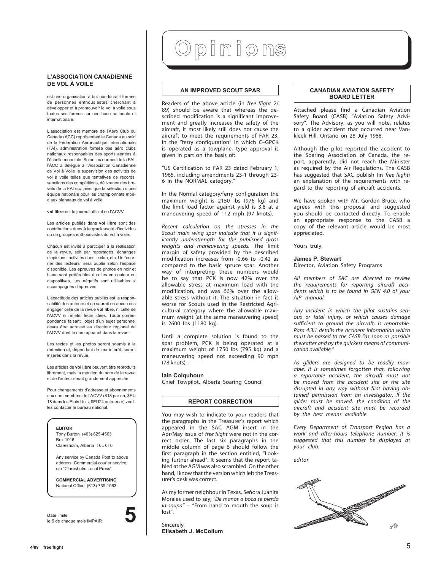#### **L'ASSOCIATION CANADIENNE DE VOL À VOILE**

est une organisation à but non lucratif formée de personnes enthousiastes cherchant à développer et à promouvoir le vol à voile sous toutes ses formes sur une base nationale et internationale.

L'association est membre de l'Aéro Club du Canada (ACC) représentant le Canada au sein de la Fédération Aéronautique Internationale (FAI), administration formée des aéro clubs nationaux responsables des sports aériens à l'échelle mondiale. Selon les normes de la FAI, l'ACC a délégué à l'Association Canadienne de Vol à Voile la supervision des activités de vol à voile telles que tentatives de records, sanctions des compétitions, délivrance des brevets de la FAI etc. ainsi que la sélection d'une équipe nationale pour les championnats mondiaux biennaux de vol à voile.

**vol libre** est le journal officiel de l'ACVV.

Les articles publiés dans **vol libre** sont des contributions dues à la gracieuseté d'individus ou de groupes enthousiastes du vol à voile.

Chacun est invité à participer à la réalisation de la revue, soit par reportages, échanges d'opinions, activités dans le club, etc. Un "courrier des lecteurs" sera publié selon l'espace disponible. Les épreuves de photos en noir et blanc sont préférables à celles en couleur ou diapositives. Les négatifs sont utilisables si accompagnés d'épreuves.

L'exactitude des articles publiés est la responsabilité des auteurs et ne saurait en aucun cas engager celle de la revue **vol libre,** ni celle de l'ACVV ni refléter leurs idées. Toute correspondance faisant l'objet d'un sujet personnel devra être adressé au directeur régional de l'ACVV dont le nom apparait dans la revue.

Les textes et les photos seront soumis à la rédaction et, dépendant de leur intérêt, seront insérés dans la revue.

Les articles de **vol libre** peuvent être reproduits librement, mais la mention du nom de la revue et de l'auteur serait grandement appréciée.

Pour changements d'adresse et abonnements aux non membres de l'ACVV (\$18 par an, \$EU 18 dans les Etats Unis, \$EU24 outre-mer) veuillez contacter le bureau national.

#### **EDITOR**

Tony Burton (403) 625-4563 Box 1916 Claresholm, Alberta T0L 0T0

Any service by Canada Post to above address. Commercial courier service, c/o "Claresholm Local Press"

**COMMERCIAL ADVERTISING** National Office (613) 739-1063

Date limite le 5 de chaque mois IMPAIR **5**

# Opinions

#### **AN IMPROVED SCOUT SPAR**

Readers of the above article (in *free flight* 2/ 89) should be aware that whereas the described modification is a significant improvement and greatly increases the safety of the aircraft, it most likely still does not cause the aircraft to meet the requirements of FAR 23. In the "ferry configuration" in which C–GPCK is operated as a towplane, type approval is given in part on the basis of:

"US Certification to FAR 23 dated February 1, 1965, including amendments 23-1 through 23- 6 in the NORMAL category."

In the Normal category/ferry configuration the maximum weight is 2150 Ibs (976 kg) and the limit load factor against yield is 3.8 at a maneuvering speed of 112 mph (97 knots).

*Recent calculation on the stresses in the Scout main wing spar indicate that it is significantly understrength for the published gross weights and maneuvering speeds.* The limit margin of safety provided by the described modification increases from -0.66 to -0.42 as compared to the basic spruce spar. Another way of interpreting these numbers would be to say that PCK is now 42% over the allowable stress at maximum load with the modification, and was 66% over the allowable stress without it. The situation in fact is worse for Scouts used in the Restricted Agricultural category where the allowable maximum weight (at the same maneuvering speed) is 2600 Ibs (1180 kg).

Until a complete solution is found to the spar problem, PCK is being operated at a maximum weight of 1750 lbs (795 kg) and a maneuvering speed not exceeding 90 mph (78 knots).

#### **Iain Colquhoun**

Chief Towpilot, Alberta Soaring Council

#### **REPORT CORRECTION**

You may wish to indicate to your readers that the paragraphs in the Treasurer's report which appeared in the SAC AGM insert in the Apr/May issue of *free flight* were not in the correct order. The last six paragraphs in the middle column of page 6 should follow the first paragraph in the section entitled, "Looking further ahead". It seems that the report tabled at the AGM was also scrambled. On the other hand, I know that the version which left the Treasurer's desk was correct.

As my former neighbour in Texas, Señora Juanita Morales used to say, *"De manos a boca se pierda la soupa"* – "From hand to mouth the soup is lost".

#### Sincerely, **Elisabeth J. McCollum**

#### **CANADIAN AVIATION SAFETY BOARD LETTER**

Attached please find a Canadian Aviation Safety Board (CASB) "Aviation Safety Advisory". The Advisory, as you will note, relates to a glider accident that occurred near Vankleek Hill, Ontario on 28 July 1988.

Although the pilot reported the accident to the Soaring Association of Canada, the report, apparently, did not reach the Minister as required by the Air Regulations. The CASB has suggested that SAC publish (in *free flight*) an explanation of the requirements with regard to the reporting of aircraft accidents.

We have spoken with Mr. Gordon Bruce, who agrees with this proposal and suggested you should be contacted directly. To enable an appropriate response to the CASB a copy of the relevant article would be most appreciated.

Yours truly,

### **James P. Stewart**

Director, Aviation Safety Programs

*All members of SAC are directed to review the requirements for reporting aircraft accidents which is to be found in GEN 4.0 of your AIP manual.*

*Any incident in which the pilot sustains serious or fatal injury, or which causes damage sufficient to ground the aircraft, is reportable. Para 4.3.1 details the accident information which must be passed to the CASB "as soon as possible thereafter and by the quickest means of communication available."*

*As gliders are designed to be readily movable, it is sometimes forgotten that, following a reportable accident, the aircraft must not be moved from the accident site or the site disrupted in any way without first having obtained permission from an investigator. If the glider must be moved, the condition of the aircraft and accident site must be recorded by the best means available.*

*Every Department of Transport Region has a work and after-hours telephone number. It is suggested that this number be displayed at your club.*

*editor*

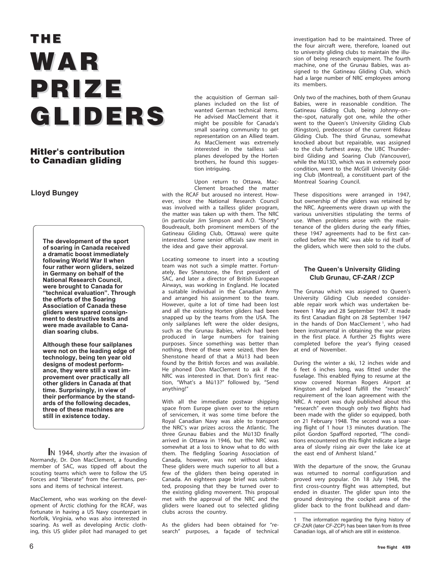# **THE WAR PRIZE GLIDERS GLIDERS**

### **Hitler's contribution to Canadian gliding**

#### **Lloyd Bungey**

**The development of the sport of soaring in Canada received a dramatic boost immediately following World War II when four rather worn gliders, seized in Germany on behalf of the National Research Council, were brought to Canada for "technical evaluation". Through the efforts of the Soaring Association of Canada these gliders were spared consignment to destructive tests and were made available to Canadian soaring clubs.**

**Although these four sailplanes were not on the leading edge of technology, being ten year old designs of modest performance, they were still a vast improvement over practically all other gliders in Canada at that time. Surprisingly, in view of their performance by the standards of the following decades, three of these machines are still in existence today.**

 **I**N 1944, shortly after the invasion of Normandy, Dr. Don MacClement, a founding member of SAC, was tipped off about the scouting teams which were to follow the US Forces and "liberate" from the Germans, persons and items of technical interest.

MacClement, who was working on the development of Arctic clothing for the RCAF, was fortunate in having a US Navy counterpart in Norfolk, Virginia, who was also interested in soaring. As well as developing Arctic clothing, this US glider pilot had managed to get the acquisition of German sailplanes included on the list of wanted German technical items. He advised MacClement that it might be possible for Canada's small soaring community to get representation on an Allied team. As MacClement was extremely interested in the tailless sailplanes developed by the Horten brothers, he found this suggestion intriguing.

Upon return to Ottawa, Mac-Clement broached the matter with the RCAF but aroused no interest. However, since the National Research Council was involved with a tailless glider program, the matter was taken up with them. The NRC (in particular Jim Simpson and A.O. "Shorty" Boudreault, both prominent members of the Gatineau Gliding Club, Ottawa) were quite interested. Some senior officials saw merit in the idea and gave their approval.

Locating someone to insert into a scouting team was not such a simple matter. Fortunately, Bev Shenstone, the first president of SAC, and later a director of British European Airways, was working in England. He located a suitable individual in the Canadian Army and arranged his assignment to the team. However, quite a lot of time had been lost and all the existing Horten gliders had been snapped up by the teams from the USA. The only sailplanes left were the older designs, such as the Grunau Babies, which had been produced in large numbers for training purposes. Since something was better than nothing, three of these were seized, then Bev Shenstone heard of that a Mü13 had been found by the British forces and was available. He phoned Don MacClement to ask if the NRC was interested in that. Don's first reaction, "What's a Mü13?" followed by, "Send anything!"

With all the immediate postwar shipping space from Europe given over to the return of servicemen, it was some time before the Royal Canadian Navy was able to transport the NRC's war prizes across the Atlantic. The three Grunau Babies and the Mü13D finally arrived in Ottawa in 1946, but the NRC was somewhat at a loss to know what to do with them. The fledgling Soaring Association of Canada, however, was not without ideas. These gliders were much superior to all but a few of the gliders then being operated in Canada. An eighteen page brief was submitted, proposing that they be turned over to the existing gliding movement. This proposal met with the approval of the NRC and the gliders were loaned out to selected gliding clubs across the country.

As the gliders had been obtained for "research" purposes, a façade of technical investigation had to be maintained. Three of the four aircraft were, therefore, loaned out to university gliding clubs to maintain the illusion of being research equipment. The fourth machine, one of the Grunau Babies, was assigned to the Gatineau Gliding Club, which had a large number of NRC employees among its members.

Only two of the machines, both of them Grunau Babies, were in reasonable condition. The Gatineau Gliding Club, being Johnny–on– the–spot, naturally got one, while the other went to the Queen's University Gliding Club (Kingston), predecessor of the current Rideau Gliding Club. The third Grunau, somewhat knocked about but repairable, was assigned to the club furthest away, the UBC Thunderbird Gliding and Soaring Club (Vancouver), while the Mü13D, which was in extremely poor condition, went to the McGill University Gliding Club (Montreal), a constituent part of the Montreal Soaring Council.

These dispositions were arranged in 1947, but ownership of the gliders was retained by the NRC. Agreements were drawn up with the various universities stipulating the terms of use. When problems arose with the maintenance of the gliders during the early fifties, these 1947 agreements had to be first cancelled before the NRC was able to rid itself of the gliders, which were then sold to the clubs.

#### **The Queen's University Gliding Club Grunau, CF-ZAR / ZCP**

The Grunau which was assigned to Queen's University Gliding Club needed considerable repair work which was undertaken between 1 May and 28 September 1947. It made its first Canadian flight on 28 September 1947 in the hands of Don MacClement<sup>1</sup>, who had been instrumental in obtaining the war prizes in the first place. A further 25 flights were completed before the year's flying ceased at end of November.

During the winter a ski, 12 inches wide and 6 feet 6 inches long, was fitted under the fuselage. This enabled flying to resume at the snow covered Norman Rogers Airport at Kingston and helped fulfill the "research" requirement of the loan agreement with the NRC. A report was duly published about this "research" even though only two flights had been made with the glider so equipped, both on 21 February 1948. The second was a soaring flight of 1 hour 13 minutes duration. The pilot Gordon Spafford reported, "The conditions encountered on this flight indicate a large area of slowly rising air over the lake ice at the east end of Amherst Island."

With the departure of the snow, the Grunau was returned to normal configuration and proved very popular. On 18 July 1948, the first cross-country flight was attempted, but ended in disaster. The glider spun into the ground destroying the cockpit area of the glider back to the front bulkhead and dam-

The information regarding the flying history of CF-ZAR (later CF-ZCP) has been taken from its three Canadian logs, all of which are still in existence.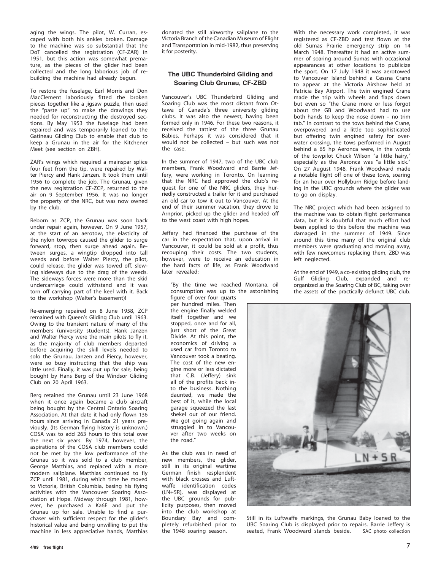aging the wings. The pilot, W. Curran, escaped with both his ankles broken. Damage to the machine was so substantial that the DoT cancelled the registration (CF-ZAR) in 1951, but this action was somewhat premature, as the pieces of the glider had been collected and the long laborious job of rebuilding the machine had already begun.

To restore the fuselage, Earl Morris and Don MacClement laboriously fitted the broken pieces together like a jigsaw puzzle, then used the "paste up" to make the drawings they needed for reconstructing the destroyed sections. By May 1953 the fuselage had been repaired and was temporarily loaned to the Gatineau Gliding Club to enable that club to keep a Grunau in the air for the Kitchener Meet (see section on ZBH).

ZAR's wings which required a mainspar splice four feet from the tip, were repaired by Walter Piercy and Hank Janzen. It took them until 1956 to complete the job. The Grunau, given the new registration CF-ZCP, returned to the air on 9 September 1956. It was no longer the property of the NRC, but was now owned by the club.

Reborn as ZCP, the Grunau was soon back under repair again, however. On 9 June 1957, at the start of an aerotow, the elasticity of the nylon towrope caused the glider to surge forward, stop, then surge ahead again. Between surges, a wingtip dropped into tall weeds and before Walter Piercy, the pilot, could release, the glider was towed off, slewing sideways due to the drag of the weeds. The sideways forces were more than the skid undercarriage could withstand and it was torn off carrying part of the keel with it. Back to the workshop (Walter's basement)!

Re-emerging repaired on 8 June 1958, ZCP remained with Queen's Gliding Club until 1963. Owing to the transient nature of many of the members (university students), Hank Janzen and Walter Piercy were the main pilots to fly it, as the majority of club members departed before acquiring the skill levels needed to solo the Grunau. Janzen and Piercy, however, were so busy instructing that the ship was little used. Finally, it was put up for sale, being bought by Hans Berg of the Windsor Gliding Club on 20 April 1963.

Berg retained the Grunau until 23 June 1968 when it once again became a club aircraft being bought by the Central Ontario Soaring Association. At that date it had only flown 136 hours since arriving in Canada 21 years previously. (Its German flying history is unknown.) COSA was to add 263 hours to this total over the next six years. By 1974, however, the aspirations of the COSA club members could not be met by the low performance of the Grunau so it was sold to a club member, George Matthias, and replaced with a more modern sailplane. Matthias continued to fly ZCP until 1981, during which time he moved to Victoria, British Columbia, basing his flying activities with the Vancouver Soaring Association at Hope. Midway through 1981, however, he purchased a Ka6E and put the Grunau up for sale. Unable to find a purchaser with sufficient respect for the glider's historical value and being unwilling to put the machine in less appreciative hands, Matthias

donated the still airworthy sailplane to the Victoria Branch of the Canadian Museum of Flight and Transportation in mid-1982, thus preserving it for posterity.

#### **The UBC Thunderbird Gliding and Soaring Club Grunau, CF-ZBD**

Vancouver's UBC Thunderbird Gliding and Soaring Club was the most distant from Ottawa of Canada's three university gliding clubs. It was also the newest, having been formed only in 1946. For these two reasons, it received the tattiest of the three Grunau Babies. Perhaps it was considered that it would not be collected – but such was not the case.

In the summer of 1947, two of the UBC club members, Frank Woodward and Barrie Jeffery, were working in Toronto. On learning that the NRC had approved the club's request for one of the NRC gliders, they hurriedly constructed a trailer for it and purchased an old car to tow it out to Vancouver. At the end of their summer vacation, they drove to Arnprior, picked up the glider and headed off to the west coast with high hopes.

Jeffery had financed the purchase of the car in the expectation that, upon arrival in Vancouver, it could be sold at a profit, thus recouping their costs. The two students, however, were to receive an education in the hard facts of life, as Frank Woodward later revealed:

"By the time we reached Montana, oil consumption was up to the astonishing

figure of over four quarts per hundred miles. Then the engine finally welded itself together and we stopped, once and for all, just short of the Great Divide. At this point, the economics of driving a used car from Toronto to Vancouver took a beating. The cost of the new engine more or less dictated that C.B. (Jeffery) sink all of the profits back into the business. Nothing daunted, we made the best of it, while the local garage squeezed the last shekel out of our friend. We got going again and struggled in to Vancouver after two weeks on the road."

As the club was in need of new members, the glider, still in its original wartime German finish resplendent with black crosses and Luftwaffe identification codes (LN+5R), was displayed at the UBC grounds for publicity purposes, then moved into the club workshop at Boundary Bay and completely refurbished prior to the 1948 soaring season.

With the necessary work completed, it was registered as CF-ZBD and test flown at the old Sumas Prairie emergency strip on 14 March 1948. Thereafter it had an active summer of soaring around Sumas with occasional appearances at other locations to publicize the sport. On 17 July 1948 it was aerotowed to Vancouver Island behind a Cessna Crane to appear at the Victoria Airshow held at Patricia Bay Airport. The twin engined Crane made the trip with wheels and flaps down but even so "the Crane more or less forgot about the GB and Woodward had to use both hands to keep the nose down – no trim tab." In contrast to the tows behind the Crane, overpowered and a little too sophisticated but offering twin engined safety for overwater crossing, the tows performed in August behind a 65 hp Aeronca were, in the words of the towpilot Chuck Wilson "a little hairy," especially as the Aeronca was "a little sick." On 27 August 1948, Frank Woodward made a notable flight off one of these tows, soaring for an hour over Hollyburn Ridge before landing in the UBC grounds where the glider was to go on display.

The NRC project which had been assigned to the machine was to obtain flight performance data, but it is doubtful that much effort had been applied to this before the machine was damaged in the summer of 1949. Since around this time many of the original club members were graduating and moving away, with few newcomers replacing them, ZBD was left neglected.

At the end of 1949, a co-existing gliding club, the Gulf Gliding Club, expanded and reorganized as the Soaring Club of BC, taking over the assets of the practically defunct UBC club.



Still in its Luftwaffe markings, the Grunau Baby loaned to the UBC Soaring Club is displayed prior to repairs. Barrie Jeffery is seated, Frank Woodward stands beside. SAC photo collection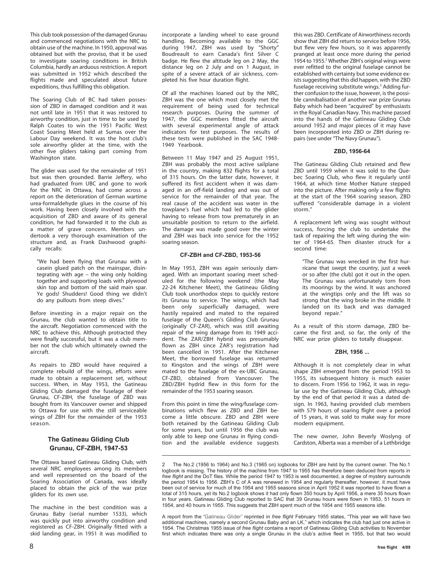This club took possession of the damaged Grunau and commenced negotiations with the NRC to obtain use of the machine. In 1950, approval was obtained but with the proviso, that it be used to investigate soaring conditions in British Columbia, hardly an arduous restriction. A report was submitted in 1952 which described the flights made and speculated about future expeditions, thus fulfilling this obligation.

The Soaring Club of BC had taken possession of ZBD in damaged condition and it was not until late in 1951 that it was restored to airworthy condition, just in time to be used by Ralph Coates to win the 1951 Pacific West Coast Soaring Meet held at Sumas over the Labour Day weekend. It was the host club's sole airworthy glider at the time, with the other five gliders taking part coming from Washington state.

The glider was used for the remainder of 1951 but was then grounded. Barrie Jeffery, who had graduated from UBC and gone to work for the NRC in Ottawa, had come across a report on the deterioration of German wartime urea-formaldehyde glues in the course of his work. Having been closely involved with the acquisition of ZBD and aware of its general condition, he had forwarded it to the club as a matter of grave concern. Members undertook a very thorough examination of the structure and, as Frank Dashwood graphically recalls:

"We had been flying that Grunau with a casein glued patch on the mainspar, disintegrating with age – the wing only holding together and supporting loads with plywood skin top and bottom of the said main spar. Ye gods! Shudders! Good thing we didn't do any pullouts from steep dives."

Before investing in a major repair on the Grunau, the club wanted to obtain title to the aircraft. Negotiation commenced with the NRC to achieve this. Although protracted they were finally successful, but it was a club member not the club which ultimately owned the aircraft.

As repairs to ZBD would have required a complete rebuild of the wings, efforts were made to obtain a replacement set, without success. When, in May 1953, the Gatineau Gliding Club damaged the fuselage of their Grunau, CF-ZBH, the fuselage of ZBD was bought from its Vancouver owner and shipped to Ottawa for use with the still serviceable wings of ZBH for the remainder of the 1953 season.

#### **The Gatineau Gliding Club Grunau, CF-ZBH, 1947-53**

The Ottawa based Gatineau Gliding Club, with several NRC employees among its members and well represented on the board of the Soaring Association of Canada, was ideally placed to obtain the pick of the war prize eliders for its own use.

The machine in the best condition was a Grunau Baby (serial number 1533), which was quickly put into airworthy condition and registered as CF-ZBH. Originally fitted with a skid landing gear, in 1951 it was modified to

incorporate a landing wheel to ease ground handling. Becoming available to the GGC during 1947, ZBH was used by "Shorty" Boudreault to earn Canada's first Silver C badge. He flew the altitude leg on 2 May, the distance leg on 2 July and on 1 August, in spite of a severe attack of air sickness, completed his five hour duration flight.

Of all the machines loaned out by the NRC, ZBH was the one which most closely met the requirement of being used for technical research purposes. During the summer of 1947, the GGC members fitted the aircraft with several experimental angle of attack indicators for test purposes. The results of these tests were published in the SAC 1948- 1949 Yearbook.

Between 11 May 1947 and 25 August 1951, ZBH was probably the most active sailplane in the country, making 832 flights for a total of 315 hours. On the latter date, however, it suffered its first accident when it was damaged in an off-field landing and was out of service for the remainder of that year. The real cause of the accident was water in the towplane's fuel which had led to the glider having to release from tow prematurely in an unsuitable position to return to the airfield. The damage was made good over the winter and ZBH was back into service for the 1952 soaring season.

#### **CF-ZBH and CF-ZBD, 1953-56**

In May 1953, ZBH was again seriously damaged. With an important soaring meet scheduled for the following weekend (the May 22-24 Kitchener Meet), the Gatineau Gliding Club took unorthodox steps to quickly restore its Grunau to service. The wings, which had been only superficially damaged, were hastily repaired and mated to the repaired fuselage of the Queen's Gliding Club Grunau (originally CF-ZAR), which was still awaiting repair of the wing damage from its 1949 accident. The ZAR/ZBH hybrid was presumably flown as ZBH since ZAR's registration had been cancelled in 1951. After the Kitchener Meet, the borrowed fuselage was returned to Kingston and the wings of ZBH were mated to the fuselage of the ex-UBC Grunau, CF-ZBD, obtained from Vancouver. The ZBD/ZBH hydrid flew in this form for the remainder of the 1953 soaring season.

From this point in time the wing/fuselage combinations which flew as ZBD and ZBH become a little obscure. ZBD and ZBH were both retained by the Gatineau Gliding Club for some years, but until 1956 the club was only able to keep one Grunau in flying condition and the available evidence suggests this was ZBD. Certificate of Airworthiness records show that ZBH did return to service before 1956, but flew very few hours, so it was apparently pranged at least once more during the period 1954 to 1955.<sup>2</sup> Whether ZBH's original wings were ever refitted to the original fuselage cannot be established with certainty but some evidence exists suggesting that this did happen, with the ZBD fuselage receiving substitute wings.<sup>3</sup> Adding further confusion to the issue, however, is the possible cannibalisation of another war prize Grunau Baby which had been "acquired" by enthusiasts in the Royal Canadian Navy. This machine passed into the hands of the Gatineau Gliding Club around 1952 and major pieces of it may have been incorporated into ZBD or ZBH during repairs (see under "The Navy Grunau").

#### **ZBD, 1956-64**

The Gatineau Gliding Club retained and flew ZBD until 1959 when it was sold to the Quebec Soaring Club, who flew it regularly until 1964, at which time Mother Nature stepped into the picture. After making only a few flights at the start of the 1964 soaring season, ZBD suffered "considerable damage in a violent storm."

A replacement left wing was sought without success, forcing the club to undertake the task of repairing the left wing during the winter of 1964-65. Then disaster struck for a second time:

"The Grunau was wrecked in the first hurricane that swept the country, just a week or so after (the club) got it out in the open. The Grunau was unfortunately torn from its moorings by the wind. It was anchored at the wingtips only and the lift was so strong that the wing broke in the middle. It landed on its back and was damaged beyond repair."

As a result of this storm damage, ZBD became the first and, so far, the only of the NRC war prize gliders to totally disappear.

#### **ZBH, 1956 ...**

Although it is not completely clear in what shape ZBH emerged from the period 1953 to 1955, its subsequent history is much easier to discern. From 1956 to 1962, it was in regular use by the Gatineau Gliding Club, although by the end of that period it was a dated design. In 1963, having provided club members with 579 hours of soaring flight over a period of 15 years, it was sold to make way for more modern equipment.

The new owner, John Beverly Woslyng of Cardston, Alberta was a member of a Lethbridge

<sup>2</sup> The No.2 (1956 to 1964) and No.3 (1965 on) logbooks for ZBH are held by the current owner. The No.1 logbook is missing. The history of the machine from 1947 to 1955 has therefore been deduced from reports in *free flight* and the DoT files. While the period 1947 to 1953 is well documented, a degree of mystery surrounds the period 1954 to 1956. ZBH's C of A was renewed in 1954 and regularly thereafter, however, it must have been out of service for much of the 1954 and 1955 seasons since in April 1952 it was reported to have flown a total of 315 hours, yet its No.2 logbook shows it had only flown 350 hours by April 1956, a mere 35 hours flown in four years. Gatineau Gliding Club reported to SAC that 39 Grunau hours were flown in 1953, 51 hours in 1954, and 40 hours in 1955. This suggests that ZBH spent much of the 1954 and 1955 seasons idle.

A report from the "Gatineau Glider" reprinted in *free flight* February 1955 states, "This year we will have two additional machines, namely a second Grunau Baby and an LK," which indicates the club had just one active in 1954. The Christmas 1955 issue of *free flight* contains a report of Gatineau Gliding Club activities to November first which indicates there was only a single Grunau in the club's active fleet in 1955, but that two would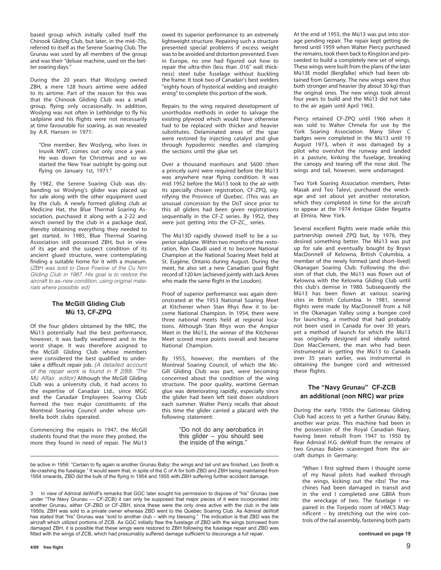based group which initially called itself the Chinook Gliding Club, but later, in the mid–70s, referred to itself as the Serene Soaring Club. The Grunau was used by all members of the group and was their "deluxe machine, used on the better soaring days."

During the 20 years that Woslyng owned ZBH, a mere 128 hours airtime were added to its airtime. Part of the reason for this was that the Chinook Gliding Club was a small group, flying only occasionally. In addition, Woslyng was not often in Lethbridge to fly his sailplane and his flights were not necessarily at time favourable for soaring, as was revealed by A.R. Hansen in 1971:

"One member, Bev Woslyng, who lives in Inuvik NWT, comes out only once a year. He was down for Christmas and so we started the New Year outright by going out flying on January 1st, 1971."

By 1982, the Serene Soaring Club was disbanding so Woslyng's glider was placed up for sale along with the other equipment used by the club. A newly formed gliding club at Medicine Hat, the Blue Thermal Soaring Association, purchased it along with a 2-22 and winch owned by the club in a package deal, thereby obtaining everything they needed to get started. In 1985, Blue Thermal Soaring Association still possessed ZBH, but in view of its age and the suspect condition of its ancient glued structure, were contemplating finding a suitable home for it with a museum. (ZBH was sold to Dave Fowlow of the Cu Nim Gliding Club in 1987. His goal is to restore the aircraft to as–new condition, using original materials where possible. ed)

#### **The McGill Gliding Club Mü 13, CF-ZPQ**

Of the four gliders obtained by the NRC, the Mü13 potentially had the best performance, however, it was badly weathered and in the worst shape. It was therefore assigned to the McGill Gliding Club whose members were considered the best qualified to undertake a difficult repair job. (A detailed account of the repair work is found in ff 2/89, "The Mü Affair. editor) Although the McGill Gliding Club was a university club, it had access to the expertise of Canadair Ltd., since MGC and the Canadair Employees Soaring Club formed the two major constituents of the Montreal Soaring Council under whose umbrella both clubs operated.

Commencing the repairs in 1947, the McGill students found that the more they probed, the more they found in need of repair. The Mü13 owed its superior performance to an extremely lightweight structure. Repairing such a structure presented special problems if excess weight was to be avoided and distortion prevented. Even in Europe, no one had figured out how to repair the ultra-thin (less than .016" wall thickness) steel tube fuselage without buckling the frame. It took two of Canadair's best welders "eighty hours of hysterical welding and straightening" to complete this portion of the work.

Repairs to the wing required development of unorthodox methods in order to salvage the existing plywood which would have otherwise had to be replaced with thicker and heavier substitutes. Delaminated areas of the spar were restored by injecting catalyst and glue through hypodermic needles and clamping the sections until the glue set.

Over a thousand manhours and \$600 (then a princely sum) were required before the Mü13 was anywhere near flying condition. It was mid 1952 before the Mü13 took to the air with its specially chosen registration, CF-ZPQ, signifying the Province of Quebec. (This was an unusual concession by the DoT since prior to this all gliders had been given registrations sequentially in the CF-Z series. By 1952, they were just getting into the CF-ZC\_ series.

The Mü13D rapidly showed itself to be a superior sailplane. Within two months of the restoration, Ron Claudi used it to become National Champion at the National Soaring Meet held at St. Eugène, Ontario during August. During the meet, he also set a new Canadian goal flight record of 120 km (achieved jointly with Jack Ames who made the same flight in the Loudon).

Proof of superior performance was again demonstrated at the 1953 National Soaring Meet at Kitchener when Stan Rhys flew it to become National Champion. In 1954, there were three national meets held at regional locations. Although Stan Rhys won the Arnpior Meet in the Mü13, the winner of the Kitchener Meet scored more points overall and became National Champion.

By 1955, however, the members of the Montreal Soaring Council, of which the Mc-Gill Gliding Club was part, were becoming concerned about the condition of the wing structure. The poor quality, wartime German glue was deteriorating rapidly, especially since the glider had been left tied down outdoors each summer. Walter Piercy recalls that about this time the glider carried a placard with the following statement:

> "Do not do any aerobatics in this glider – you should see the inside of the wings."

be active in 1956: "Certain to fly again is another Grunau Baby; the wings and tail unit are finished. Leo Smith is de-crashing the fuselage." It would seem that, in spite of the C of A for both ZBD and ZBH being maintained from 1954 onwards, ZBD did the bulk of the flying in 1954 and 1955 with ZBH suffering further accident damage.

3 In view of Admiral deWolf's remarks that GGC later sought his permission to dispose of "his" Grunau (see under "The Navy Grunau — CF-ZCB) it can only be supposed that major pieces of it were incorporated into another Grunau, either CF-ZBD or CF-ZBH, since these were the only ones active with the club in the late 1950s. ZBH was sold to a private owner whereas ZBD went to the Quebec Soaring Club. As Admiral deWolf has stated that "his" Grunau was "sold to another club – with my blessing." The indication is that ZBD was the aircraft which utilized portions of ZCB. As GGC initially flew the fuselage of ZBD with the wings borrowed from damaged ZBH, it is possible that these wings were restored to ZBH following the fuselage repair and ZBD was fitted with the wings of ZCB, which had presumably suffered damage sufficient to discourage a full repair. **continued on page 19**

At the end of 1955, the Mü13 was put into storage pending repair. The repair kept getting deferred until 1959 when Walter Piercy purchased the remains, took them back to Kingston and proceeded to build a completely new set of wings. These wings were built from the plans of the later Mü13E model (Bergfalke) which had been obtained from Germany. The new wings were thus both stronger and heavier (by about 30 kg) than the original ones. The new wings took almost four years to build and the Mü13 did not take to the air again until April 1963.

Piercy retained CF-ZPQ until 1966 when it was sold to Walter Chmela for use by the York Soaring Association. Many Silver C badges were completed in the Mü13 until 19 August 1973, when it was damaged by a pilot who overshot the runway and landed in a pasture, kinking the fuselage, breaking the canopy and tearing off the nose skid. The wings and tail, however, were undamaged.

Two York Soaring Association members, Peter Masak and Teo Talevi, purchased the wreckage and set about yet another restoration, which they completed in time for the aircraft to appear at the 1974 Antique Glider Regatta at Elmira, New York.

Several excellent flights were made while this partnership owned ZPQ but, by 1976, they desired something better. The Mü13 was put up for sale and eventually bought by Bryan MacDonnell of Kelowna, British Columbia, a member of the newly formed (and short–lived) Okanagan Soaring Club. Following the division of that club, the Mü13 was flown out of Kelowna with the Kelowna Gliding Club until this club's demise in 1980. Subsequently the Mü13 has been flown at various soaring sites in British Columbia. In 1981, several flights were made by MacDonnell from a hill in the Okanagan Valley using a bungee cord for launching, a method that had probably not been used in Canada for over 30 years, yet a method of launch for which the Mü13 was originally designed and ideally suited. Don MacClement, the man who had been instrumental in getting the Mü13 to Canada over 35 years earlier, was instrumental in obtaining the bungee cord and witnessed these flights.

#### **The "Navy Grunau" CF-ZCB an additional (non NRC) war prize**

During the early 1950s the Gatineau Gliding Club had access to yet a further Grunau Baby, another war prize. This machine had been in the possession of the Royal Canadian Navy, having been rebuilt from 1947 to 1950 by Rear Admiral H.G. deWolf from the remains of two Grunau Babies scavenged from the aircraft dumps in Germany:

"When I first sighted them I thought some of my Naval pilots had walked through the wings, kicking out the ribs! The machines had been damaged in transit and in the end I completed one GBIIA from the wreckage of two. The fuselage I repaired in the Torpedo room of HMCS Magnificent – by stretching out the wire controls of the tail assembly, fastening both parts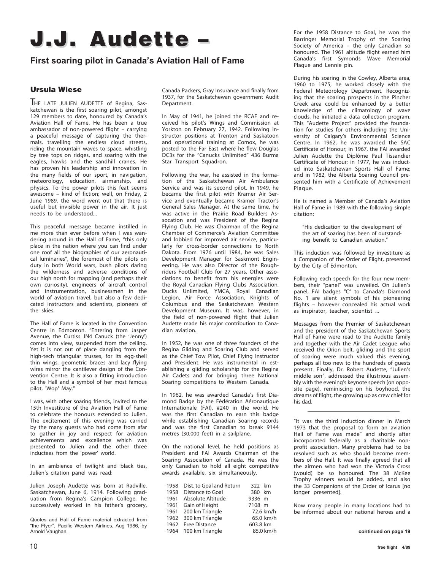# **J.J. Audette J.J. Audette –**

## **First soaring pilot in Canada's Aviation Hall of Fame**

#### **Ursula Wiese**

THE LATE JULIEN AUDETTE of Regina, Saskatchewan is the first soaring pilot, amongst 129 members to date, honoured by Canada's Aviation Hall of Fame. He has been a true ambassador of non-powered flight – carrying a peaceful message of capturing the thermals, travelling the endless cloud streets, riding the mountain waves to space, whistling by tree tops on ridges, and soaring with the eagles, hawks and the sandhill cranes. He has proven his leadership and innovation in the many fields of our sport, in navigation, meteorology, education, airmanship, and physics. To the power pilots this feat seems awesome – kind of fiction; well, on Friday, 2 June 1989, the word went out that there is useful but invisible power in the air. It just needs to be understood...

This peaceful message became instilled in me more than ever before when I was wandering around in the Hall of Fame, "this only place in the nation where you can find under one roof all the biographies of our aeronautical luminaries", the foremost of the pilots on duty in both World wars, bush pilots daring the wilderness and adverse conditions of our high north for mapping (and perhaps their own curiosity), engineers of aircraft control and instrumentation, businessmen in the world of aviation travel, but also a few dedicated instructors and scientists, pioneers of the skies.

The Hall of Fame is located in the Convention Centre in Edmonton. "Entering from Jasper Avenue, the Curtiss JN4 Canuck (the 'Jenny') comes into view, suspended from the ceiling. Yet it is not out of place dangling from the high-tech triangular trusses, for its egg-shell thin wings, geometric braces and lacy flying wires mirror the cantilever design of the Convention Centre. It is also a fitting introduction to the Hall and a symbol of her most famous pilot, 'Wop' May."

I was, with other soaring friends, invited to the 15th Investiture of the Aviation Hall of Fame to celebrate the honours extended to Julien. The excitement of this evening was carried by the many guests who had come from afar to gather in joy and respect for aviation achievements and excellence which was presented to Julien and the other three inductees from the 'power' world.

In an ambience of twilight and black ties, Julien's citation panel was read:

Julien Joseph Audette was born at Radville, Saskatchewan, June 6, 1914. Following graduation from Regina's Campion College, he successively worked in his father's grocery, Canada Packers, Gray Insurance and finally from 1937, for the Saskatchewan government Audit Department.

In May of 1941, he joined the RCAF and received his pilot's Wings and Commission at Yorkton on February 27, 1942. Following instructor positions at Trenton and Saskatoon and operational training at Comox, he was posted to the Far East where he flew Douglas DC3s for the "Canucks Unlimited" 436 Burma Star Transport Squadron.

Following the war, he assisted in the formation of the Saskatchewan Air Ambulance Service and was its second pilot. In 1949, he became the first pilot with Kramer Air Service and eventually became Kramer Tractor's General Sales Manager. At the same time, he was active in the Prairie Road Builders Assocation and was President of the Regina Flying Club. He was Chairman of the Regina Chamber of Commerce's Aviation Committee and lobbied for improved air service, particularly for cross-border connections to North Dakota. From 1976 until 1984, he was Sales Development Manager for Saskmont Engineering. He was also Director of the Roughriders Football Club for 27 years. Other associations to benefit from his energies were the Royal Canadian Flying Clubs Association, Ducks Unlimited, YMCA, Royal Canadian Legion, Air Force Association, Knights of Columbus and the Saskatchewan Western Development Museum. It was, however, in the field of non-powered flight that Julien Audette made his major contribution to Canadian aviation.

In 1952, he was one of three founders of the Regina Gliding and Soaring Club and served as the Chief Tow Pilot, Chief Flying Instructor and President. He was instrumental in establishing a gliding scholarship for the Regina Air Cadets and for bringing three National Soaring competitions to Western Canada.

In 1962, he was awarded Canada's first Diamond Badge by the Fédération Aéronautique Internationale (FAI), #240 in the world. He was the first Canadian to earn this badge while establishing Canadian Soaring records and was the first Canadian to break 9144 metres (30,000 feet) in a sailplane.

On the national level, he held positions as President and FAI Awards Chairman of the Soaring Association of Canada. He was the only Canadian to hold all eight competitive awards available, six simultaneously.

| 1958 | Dist. to Goal and Return | 322 km   |           |
|------|--------------------------|----------|-----------|
|      | 1958 Distance to Goal    | 380 km   |           |
|      | 1961 Absolute Altitude   | 9336 m   |           |
|      | 1961 Gain of Height      | 7108 m   |           |
|      | 1961 200 km Triangle     |          | 72.6 km/h |
|      | 1962 300 km Triangle     |          | 65.0 km/h |
|      | 1962 Free Distance       | 603.8 km |           |
|      | 1964 100 km Triangle     |          | 85.0 km/h |

For the 1958 Distance to Goal, he won the Barringer Memorial Trophy of the Soaring Society of America – the only Canadian so honoured. The 1961 altitude flight earned him Canada's first Symonds Wave Memorial Plaque and Lennie pin.

During his soaring in the Cowley, Alberta area, 1960 to 1975, he worked closely with the Federal Meteorology Department. Recognizing that the soaring prospects in the Pincher Creek area could be enhanced by a better knowledge of the climatology of wave clouds, he initiated a data collection program. This "Audette Project" provided the foundation for studies for others including the University of Calgary's Environmental Science Centre. In 1962, he was awarded the SAC Certificate of Honour; in 1967, the FAI awarded Julien Audette the Diplôme Paul Tissandier Certificate of Honour; in 1977, he was inducted into Saskatchewan Sports Hall of Fame; and in 1982, the Alberta Soaring Council presented him with a Certificate of Achievement Plaque.

He is named a Member of Canada's Aviation Hall of Fame in 1989 with the following simple citation:

"His dedication to the development of the art of soaring has been of outstanding benefit to Canadian aviation."

This induction was followed by investiture as a Companion of the Order of Flight, presented by the City of Edmonton.

Following each speech for the four new members, their "panel" was unveiled. On Julien's panel, FAI badges "C" to Canada's Diamond No. 1 are silent symbols of his pioneering flights – however concealed his actual work as inspirator, teacher, scientist ...

Messages from the Premier of Saskatchewan and the president of the Saskatchewan Sports Hall of Fame were read to the Audette family and together with the Air Cadet League who received the Orion belt, gliding and the sport of soaring were much valued this evening, perhaps all too new to the hundreds of guests present. Finally, Dr. Robert Audette, "Julien's middle son", addressed the illustrious assembly with the evening's keynote speech (on opposite page), reminiscing on his boyhood, the dreams of flight, the growing up as crew chief for his dad.

"It was the third Induction dinner in March 1973 that the proposal to form an aviation Hall of Fame was made" and shortly after incorporated federally as a charitable nonprofit association. Many problems had to be resolved such as who should become members of the Hall. It was finally agreed that all the airmen who had won the Victoria Cross (would) be so honoured. The 38 McKee Trophy winners would be added, and also the 33 Companions of the Order of Icarus [no longer presented].

Now many people in many locations had to be informed about our national heroes and a

Quotes and Hall of Fame material extracted from "the Flyer", Pacific Western Airlines, Aug 1986, by Arnold Vaughan.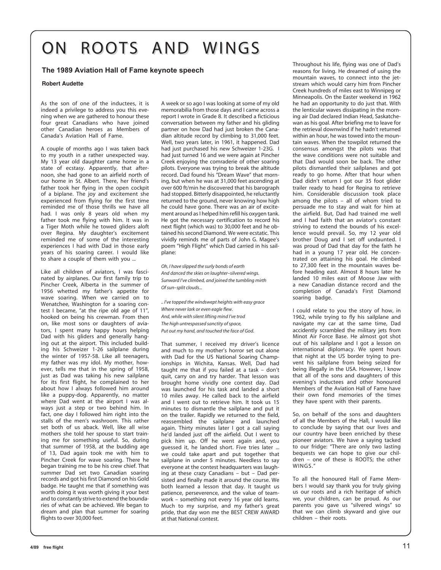# ON ROOTS AND WINGS

#### **The 1989 Aviation Hall of Fame keynote speech**

#### **Robert Audette**

As the son of one of the inductees, it is indeed a privilege to address you this evening when we are gathered to honour these four great Canadians who have joined other Canadian heroes as Members of Canada's Aviation Hall of Fame.

A couple of months ago I was taken back to my youth in a rather unexpected way. My 13 year old daughter came home in a state of ecstasy. Apparently, that afternoon, she had gone to an airfield north of our home in St. Albert. There, her friend's father took her flying in the open cockpit of a biplane. The joy and excitement she experienced from flying for the first time reminded me of those thrills we have all had. I was only 8 years old when my father took me flying with him. It was in a Tiger Moth while he towed gliders aloft over Regina. My daughter's excitement reminded me of some of the interesting experiences I had with Dad in those early years of his soaring career. I would like to share a couple of them with you ...

Like all children of aviators, I was fascinated by airplanes. Our first family trip to Pincher Creek, Alberta in the summer of 1956 whetted my father's appetite for wave soaring. When we carried on to Wenatchee, Washington for a soaring contest I became, "at the ripe old age of 11", hooked on being his crewman. From then on, like most sons or daughters of aviators, I spent many happy hours helping Dad with his gliders and generally hanging out at the airport. This included building his Schweizer 1-26 sailplane during the winter of 1957-58. Like all teenagers, my father was my idol. My mother, however, tells me that in the spring of 1958, just as Dad was taking his new sailplane for its first flight, he complained to her about how I always followed him around like a puppy-dog. Apparently, no matter where Dad went at the airport I was always just a step or two behind him. In fact, one day I followed him right into the stalls of the men's washroom. This rather set both of us aback. Well, like all wise mothers she told her spouse to start training me for something useful. So, during that summer of 1958, at the budding age of 13, Dad again took me with him to Pincher Creek for wave soaring. There he began training me to be his crew chief. That summer Dad set two Canadian soaring records and got his first Diamond on his Gold badge. He taught me that if something was worth doing it was worth giving it your best and to constantly strive to extend the boundaries of what can be achieved. We began to dream and plan that summer for soaring flights to over 30,000 feet.

A week or so ago I was looking at some of my old memorabilia from those days and I came across a report I wrote in Grade 8. It described a ficticious conversation between my father and his gliding partner on how Dad had just broken the Canadian altitude record by climbing to 31,000 feet. Well, two years later, in 1961, it happened. Dad had just purchased his new Schweizer 1-23G. I had just turned 16 and we were again at Pincher Creek enjoying the comraderie of other soaring pilots. Everyone was trying to break the altitude record. Dad found his "Dream Wave" that morning, but when he was at 31,000 feet ascending at over 600 ft/min he discovered that his barograph had stopped. Bitterly disappointed, he reluctantly returned to the ground, never knowing how high he could have gone. There was an air of excitement around as I helped him refill his oxygen tank. He got the necessary certification to record his next flight (which was) to 30,000 feet and he obtained his second Diamond. We were ecstatic. This vividly reminds me of parts of John G. Magee's poem "High Flight" which Dad carried in his sailplane:

*Oh, I have slipped the surly bonds of earth And danced the skies on laughter–silvered wings. Sunward I've climbed, and joined the tumbling mirth Of sun–split clouds...*

*.. I've topped the windswept heights with easy grace Where never lark or even eagle flew. And, while with silent lifting mind I've trod The high untrespassed sanctity of space, Put out my hand, and touched the face of God.*

That summer, I received my driver's licence and much to my mother's horror set out alone with Dad for the US National Soaring Championships in Wichita, Kansas. Well, Dad had taught me that if you failed at a task – don't quit, carry on and try harder. That lesson was brought home vividly one contest day. Dad was launched for his task and landed a short 10 miles away. He called back to the airfield and I went out to retrieve him. It took us 15 minutes to dismantle the sailplane and put it on the trailer. Rapidly we returned to the field, reassembled the sailplane and launched again. Thirty minutes later I got a call saying he'd landed just off the airfield. Out I went to pick him up. Off he went again and, you guessed it, he landed short. Five tries later ... we could take apart and put together that sailplane in under 5 minutes. Needless to say everyone at the contest headquarters was laughing at these crazy Canadians – but – Dad persisted and finally made it around the course. We both learned a lesson that day. It taught us patience, perseverence, and the value of teamwork – something not every 16 year old learns. Much to my surprise, and my father's great pride, that day won me the BEST CREW AWARD at that National contest.

Throughout his life, flying was one of Dad's reasons for living. He dreamed of using the mountain waves, to connect into the jetstream which would carry him from Pincher Creek hundreds of miles east to Winnipeg or Minneapolis. On the Easter weekend in 1962 he had an opportunity to do just that. With the lenticular waves dissipating in the morning air Dad declared Indian Head, Saskatchewan as his goal. After briefing me to leave for the retrieval downwind if he hadn't returned within an hour, he was towed into the mountain waves. When the towpilot returned the consensus amongst the pilots was that the wave conditions were not suitable and that Dad would soon be back. The other pilots dismantled their sailplanes and got ready to go home. After that hour when Dad didn't return I got our 35 foot glider trailer ready to head for Regina to retrieve him. Considerable discussion took place among the pilots – all of whom tried to persuade me to stay and wait for him at the airfield. But, Dad had trained me well and I had faith that an aviator's constant striving to extend the bounds of his excellence would prevail. So, my 12 year old brother Doug and I set off undaunted. I was proud of Dad that day for the faith he had in a young 17 year old. He concentrated on attaining his goal. He climbed to 27,300 feet in the mountain waves before heading east. Almost 8 hours later he landed 10 miles east of Moose Jaw with a new Canadian distance record and the completion of Canada's First Diamond soaring badge.

I could relate to you the story of how, in 1962, while trying to fly his sailplane and navigate my car at the same time, Dad accidently scrambled the military jets from Minot Air Force Base. He almost got shot out of his sailplane and I got a lesson on international diplomacy. We spent hours that night at the US border trying to prevent his sailplane from being seized for being illegally in the USA. However, I know that all of the sons and daughters of this evening's inductees and other honoured Members of the Aviation Hall of Fame have their own fond memories of the times they have spent with their parents.

So, on behalf of the sons and daughters of all the Members of the Hall, I would like to conclude by saying that our lives and our country have been enriched by these pioneer aviators. We have a saying tacked to our fridge: "There are only two lasting bequests we can hope to give our children – one of these is ROOTS; the other WINGS."

To all the honoured Hall of Fame Members I would say thank you for truly giving us our roots and a rich heritage of which we, your children, can be proud. As our parents you gave us "silvered wings" so that we can climb skyward and give our children – their roots.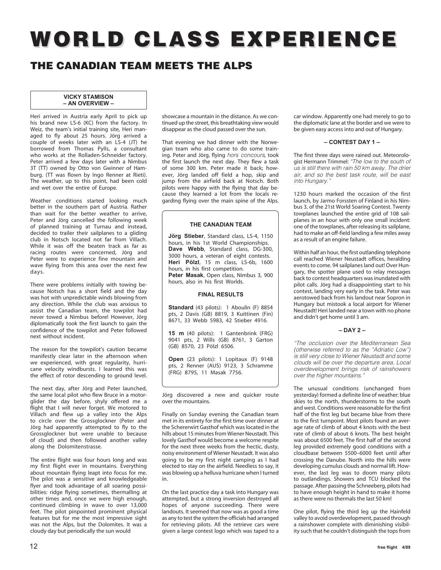# **WORLD CLASS EXPERIENCE EXPERIENCE**

## **THE CANADIAN TEAM MEETS THE ALPS**

#### **VICKY STAMISON – AN OVERVIEW –**

Heri arrived in Austria early April to pick up his brand new LS-6 (KC) from the factory. In Weiz, the team's initial training site, Heri managed to fly about 25 hours. Jörg arrived a couple of weeks later with an LS-4 (JT) he borrowed from Thomas Pylls, a consultant who works at the Rolladen-Schneider factory. Peter arrived a few days later with a Nimbus 3T (TT) owned by Otto von Gwinner of Hamburg. (TT was flown by Ingo Renner at Rieti). The weather, up to this point, had been cold and wet over the entire of Europe.

Weather conditions started looking much better in the southern part of Austria. Rather than wait for the better weather to arrive, Peter and Jörg cancelled the following week of planned training at Turnau and instead, decided to trailer their sailplanes to a gliding club in Notsch located not far from Villach. While it was off the beaten track as far as racing routes were concerned, Jörg and Peter were to experience fine mountain and wave flying from this area over the next few days.

There were problems initially with towing because Notsch has a short field and the day was hot with unpredictable winds blowing from any direction. While the club was anxious to assist the Canadian team, the towpilot had never towed a Nimbus before! However, Jörg diplomatically took the first launch to gain the confidence of the towpilot and Peter followed next without incident.

The reason for the towpilot's caution became manifestly clear later in the afternoon when we experienced, with great regularity, hurricane velocity windbursts. I learned this was the effect of rotor descending to ground level.

The next day, after Jörg and Peter launched, the same local pilot who flew Bruce in a motorglider the day before, shyly offered me a flight that I will never forget. We motored to Villach and flew up a valley into the Alps to circle over the Grossglockner (Peter and Jörg had apparently attempted to fly to the Grossglockner but were unable to because of cloud) and then followed another valley along the Dolomitenstrasse.

The entire flight was four hours long and was my first flight ever in mountains. Everything about mountain flying leapt into focus for me. The pilot was a sensitive and knowledgeable flyer and took advantage of all soaring possibilities: ridge flying sometimes, thermalling at other times and, once we were high enough, continued climbing in wave to over 13,000 feet. The pilot pinpointed prominent physical features but for me the most impressive sight was not the Alps, but the Dolomites. It was a cloudy day but periodically the sun would

showcase a mountain in the distance. As we continued up the street, this breathtaking view would disappear as the cloud passed over the sun.

That evening we had dinner with the Norwegian team who also came to do some training. Peter and Jörg, flying hors concours*,* took the first launch the next day. They flew a task of some 300 km. Peter made it back; however, Jörg landed off field a hop, skip and jump from the airfield back at Notsch. Both pilots were happy with the flying that day because they learned a lot from the locals regarding flying over the main spine of the Alps.

#### **THE CANADIAN TEAM**

**Jörg Stieber**, Standard class, LS-4, 1150 hours, in his 1st World Championships. Dave Webb, Standard class, DG-300, 3000 hours, a veteran of eight contests. **Heri Pölzl**, 15 m class, LS-6b, 1600 hours, in his first competition. **Peter Masak**, Open class, Nimbus 3, 900 hours, also in his first Worlds.

#### **FINAL RESULTS**

**Standard** (43 pilots): 1 Aboulin (F) 8854 pts, 2 Davis (GB) 8819, 3 Kuittinen (Fin) 8671, 33 Webb 5983, 42 Stieber 4916.

**15 m** (40 pilots): 1 Gantenbrink (FRG) 9041 pts, 2 Wills (GB) 8761, 3 Garton (GB) 8570, 23 Pölzl 6506.

**Open** (23 pilots): 1 Lopitaux (F) 9148 pts, 2 Renner (AUS) 9123, 3 Schramme (FRG) 8795, 11 Masak 7756.

Jörg discovered a new and quicker route over the mountains.

Finally on Sunday evening the Canadian team met in its entirety for the first time over dinner at the Schererwirt Gasthof which was located in the hills about 15 minutes from Wiener Neustadt. This lovely Gasthof would become a welcome respite for the next three weeks from the hectic, dusty, noisy environment of Wiener Neustadt. It was also going to be my first night camping as I had elected to stay on the airfield. Needless to say, it was blowing up a helluva hurricane when I turned in.

On the last practice day a task into Hungary was attempted, but a strong inversion destroyed all hopes of anyone succeeding. There were landouts. It seemed that now was as good a time as any to test the system the officials had arranged for retrieving pilots. All the retrieve cars were given a large contest logo which was taped to a car window. Apparently one had merely to go to the diplomatic lane at the border and we were to be given easy access into and out of Hungary.

#### **– CONTEST DAY 1 –**

The first three days were rained out. Meteorologist Hermann Trimmel: "The low to the south of us is still there with rain 50 km away. The drier air, and so the best task route, will be east into Hungary."

1230 hours marked the occasion of the first launch, by Jarmo Forssten of Finland in his Nimbus 3, of the 21st World Soaring Contest. Twenty towplanes launched the entire grid of 108 sailplanes in an hour with only one small incident: one of the towplanes, after releasing its sailplane, had to make an off-field landing a few miles away as a result of an engine failure.

Within half an hour, the first outlanding telephone call reached Wiener Neustadt offices, heralding events to come. 94 sailplanes land out! Over Hungary, the spotter plane used to relay messages back to contest headquarters was inundated with pilot calls. Jörg had a disappointing start to his contest, landing very early in the task. Peter was aerotowed back from his landout near Sopron in Hungary but mistook a local airport for Wiener Neustadt! Heri landed near a town with no phone and didn't get home until 3 am.

#### **– DAY 2 –**

"The occlusion over the Mediterranean Sea (otherwise referred to as the "Adriatic Low") is still very close to Wiener Neustadt and some clouds will be over the departure area. Local overdevelopment brings risk of rainshowers over the higher mountains."

The unusual conditions (unchanged from yesterday) formed a definite line of weather: blue skies to the north, thunderstorms to the south and west. Conditions were reasonable for the first half of the first leg but became blue from there to the first turnpoint. Most pilots found an average rate of climb of about 4 knots with the best rate of climb of about 6 knots. The best height was about 6500 feet. The first half of the second leg provided extremely good conditions with a cloudbase between 5500–6000 feet until after crossing the Danube. North into the hills were developing cumulus clouds and normal lift. However, the last leg was to doom many pilots to outlandings. Showers and TCU blocked the passage. After passing the Schneeberg, pilots had to have enough height in hand to make it home as there were no thermals the last 50 km!

One pilot, flying the third leg up the Hainfeld valley to avoid overdevelopment, passed through a rainshower complete with diminishing visibility such that he couldn't distinguish the tops from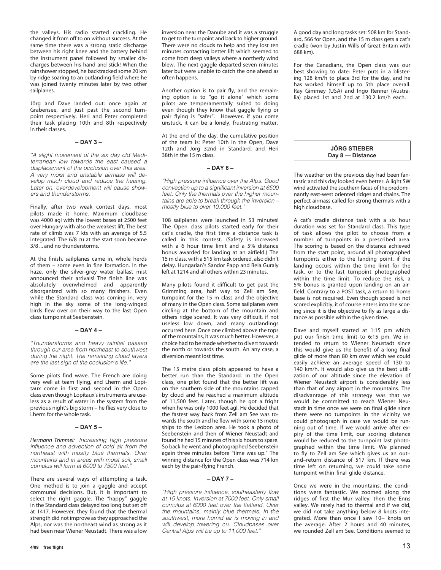the valleys. His radio started crackling. He changed it from off to on without success. At the same time there was a strong static discharge between his right knee and the battery behind the instrument panel followed by smaller discharges between his hand and stick! When the rainshower stopped, he backtracked some 20 km by ridge soaring to an outlanding field where he was joined twenty minutes later by two other sailplanes.

Jörg and Dave landed out: once again at Grabensee, and just past the second turnpoint respectively. Heri and Peter completed their task placing 10th and 8th respectively in their classes.

#### **– DAY 3 –**

"A slight movement of the six day old Mediterranean low towards the east caused a displacement of the occlusion over this area. A very moist and unstable airmass will develop much cloud and reduce the heating. Later on, overdevelopment will cause showers and thunderstorms.

Finally, after two weak contest days, most pilots made it home. Maximum cloudbase was 4000 agl with the lowest bases at 2500 feet over Hungary with also the weakest lift. The best rate of climb was 7 kts with an average of 5.5 integrated. The 6/8 cu at the start soon became 3/8 ... and no thunderstorms.

At the finish, sailplanes came in, whole herds of them – some even in fine formation. In the haze, only the silver-grey water ballast mist announced their arrivals! The finish line was absolutely overwhelmed and apparently disorganized with so many finishers. Even while the Standard class was coming in, very high in the sky some of the long-winged birds flew over on their way to the last Open class turnpoint at Seebenstein.

#### **– DAY 4 –**

"Thunderstorms and heavy rainfall passed through our area from northeast to southwest during the night. The remaining cloud layers are the last sign of the occlusion's life."

Some pilots find wave. The French are doing very well at team flying, and Lherm and Lopitaux come in first and second in the Open class even though Lopitaux's instruments are useless as a result of water in the system from the previous night's big storm – he flies very close to Lherm for the whole task.

#### **– DAY 5 –**

*Hermann Trimmel:* "Increasing high pressure influence and advection of cold air from the northeast with mostly blue thermals. Over mountains and in areas with moist soil, small cumulus will form at 6000 to 7500 feet."

There are several ways of attempting a task. One method is to join a gaggle and accept communal decisions. But, it is important to select the right gaggle. The "happy" gaggle in the Standard class delayed too long but set off at 1417. However, they found that the thermal strength did not improve as they approached the Alps, nor was the northeast wind as strong as it had been near Wiener Neustadt. There was a low

inversion near the Danube and it was a struggle to get to the turnpoint and back to higher ground. There were no clouds to help and they lost ten minutes contacting better lift which seemed to come from deep valleys where a northerly wind blew. The next gaggle departed seven minutes later but were unable to catch the one ahead as often happens.

Another option is to pair fly, and the remaining option is to "go it alone" which some pilots are temperamentally suited to doing even though they know that gaggle flying or pair flying is "safer". However, if you come unstuck, it can be a lonely, frustrating matter.

At the end of the day, the cumulative position of the team is: Peter 10th in the Open, Dave 12th and Jörg 32nd in Standard, and Heri 38th in the 15 m class.

#### **– DAY 6 –**

"High pressure influence over the Alps. Good convection up to a significant inversion at 6500 feet. Only the thermals over the higher mountains are able to break through the inversion – mostly blue to over 10,000 feet."

108 sailplanes were launched in 53 minutes! The Open class pilots started early for their cat's cradle, the first time a distance task is called in this contest. (Safety is increased with a 6 hour time limit and a 5% distance bonus awarded for landing at an airfield.) The 15 m class, with a 515 km task ordered, also didn't delay. Hungarian's Sandor Papp and Bela Guraly left at 1214 and all others within 23 minutes.

Many pilots found it difficult to get past the Grimming area, half way to Zell am See, turnpoint for the 15 m class and the objective of many in the Open class. Some sailplanes were circling at the bottom of the mountain and others ridge soared. It was very difficult, if not useless low down, and many outlandings occurred here. Once one climbed above the tops of the mountains, it was much better. However, a choice had to be made whether to divert towards the north or towards the south. An any case, a diversion meant lost time.

The 15 metre class pilots appeared to have a better run than the Standard. In the Open class, one pilot found that the better lift was on the southern side of the mountains capped by cloud and he reached a maximum altitude of 11,500 feet. Later, though he got a fright when he was only 1000 feet agl. He decided that the fastest way back from Zell am See was towards the south and he flew with some 15 metre ships to the Leobon area. He took a photo of Seebenstein and then of Wiener Neustadt and found he had 15 minutes of his six hours to spare. So back he went and photographed Seebenstein again three minutes before "time was up." The winning distance for the Open class was 714 km each by the pair-flying French.

#### **– DAY 7 –**

"High pressure influence, southeasterly flow at 15 knots. Inversion at 7000 feet. Only small cumulus at 6000 feet over the flatland. Over the mountains, mainly blue thermals. In the southwest, more humid air is moving in and will develop towering cu. Cloudbases over Central Alps will be up to 11,000 feet."

A good day and long tasks set: 508 km for Standard, 566 for Open, and the 15 m class gets a cat's cradle (won by Justin Wills of Great Britain with 688 km).

For the Canadians, the Open class was our best showing to date: Peter puts in a blistering 128 km/h to place 3rd for the day, and he has worked himself up to 5th place overall. Ray Gimmey (USA) and Ingo Renner (Australia) placed 1st and 2nd at 130.2 km/h each.

#### **JÖRG STIEBER Day 8 — Distance**

The weather on the previous day had been fantastic and this day looked even better. A light SW wind activated the southern faces of the predominantly east-west oriented ridges and chains. The perfect airmass called for strong thermals with a high cloudbase.

A cat's cradle distance task with a six hour duration was set for Standard class. This type of task allows the pilot to choose from a number of turnpoints in a prescribed area. The scoring is based on the distance achieved from the start point, around all photographed turnpoints either to the landing point, if the landing occurs within the time limit for the task, or to the last turnpoint photographed within the time limit. To reduce the risk, a 5% bonus is granted upon landing on an airfield. Contrary to a POST task, a return to home base is not required. Even though speed is not scored explicitly, it of course enters into the scoring since it is the objective to fly as large a distance as possible within the given time.

Dave and myself started at 1:15 pm which put our finish time limit to 6:15 pm. We intended to return to Wiener Neustadt since this would give us the benefit of a long final glide of more than 80 km over which we could easily achieve an average speed of 130 to 140 km/h. It would also give us the best utilization of our altitude since the elevation of Wiener Neustadt airport is considerably less than that of any airport in the mountains. The disadvantage of this strategy was that we would be committed to reach Wiener Neustadt in time once we were on final glide since there were no turnpoints in the vicinity we could photograph in case we would be running out of time. If we would arrive after expiry of the time limit, our scoring distance would be reduced to the turnpoint last photographed within the time limit. We planned to fly to Zell am See which gives us an out– and–return distance of 517 km. If there was time left on returning, we could take some turnpoint within final glide distance.

Once we were in the mountains, the conditions were fantastic. We zoomed along the ridges of first the Mur valley, then the Enns valley. We rarely had to thermal and if we did, we did not take anything below 8 knots integrated. More than once I saw 10+ knots on the average. After 2 hours and 40 minutes, we rounded Zell am See. Conditions seemed to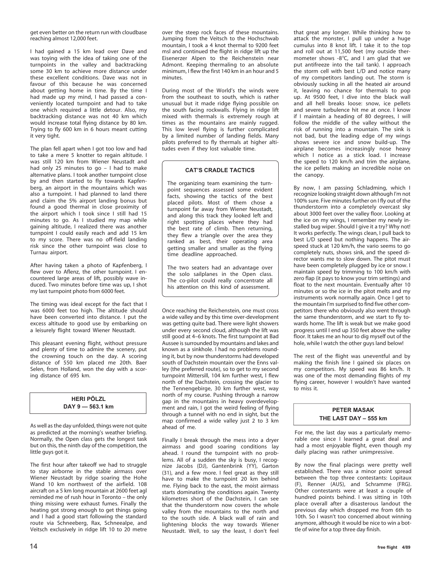get even better on the return run with cloudbase reaching almost 12,000 feet.

I had gained a 15 km lead over Dave and was toying with the idea of taking one of the turnpoints in the valley and backtracking some 30 km to achieve more distance under these excellent conditions. Dave was not in favour of this because he was concerned about getting home in time. By the time I had made up my mind, I had passed a conveniently located turnpoint and had to take one which required a little detour. Also, my backtracking distance was not 40 km which would increase total flying distance by 80 km. Trying to fly 600 km in 6 hours meant cutting it very tight.

The plan fell apart when I got too low and had to take a mere 5 knotter to regain altitude. I was still 120 km from Wiener Neustadt and had only 25 minutes to go – I had to make alternative plans. I took another turnpoint close by and then started to fly towards Kapfenberg, an airport in the mountains which was also a turnpoint. I had planned to land there and claim the 5% airport landing bonus but found a good thermal in close proximity of the airport which I took since I still had 15 minutes to go. As I studied my map while gaining altitude, I realized there was another turnpoint I could easily reach and add 15 km to my score. There was no off-field landing risk since the other turnpoint was close to Turnau airport.

After having taken a photo of Kapfenberg, I flew over to Aflenz, the other turnpoint. I encountered large areas of lift, possibly wave induced. Two minutes before time was up, I shot my last turnpoint photo from 6000 feet.

The timing was ideal except for the fact that I was 6000 feet too high. The altitude should have been converted into distance. I put the excess altitude to good use by embarking on a leisurely flight toward Wiener Neustadt.

This pleasant evening flight, without pressure and plenty of time to admire the scenery, put the crowning touch on the day. A scoring distance of 550 km placed me 20th. Baer Selen, from Holland, won the day with a scoring distance of 695 km.

#### **HERI PÖLZL DAY 9 — 563.1 km**

As well as the day unfolded, things were not quite as predicted at the morning's weather briefing. Normally, the Open class gets the longest task but on this, the ninth day of the competition, the little guys got it.

The first hour after takeoff we had to struggle to stay airborne in the stable airmass over Wiener Neustadt by ridge soaring the Hohe Wand 10 km northwest of the airfield. 108 aircraft on a 5 km long mountain at 2600 feet agl reminded me of rush hour in Toronto – the only thing missing were exhaust fumes. Finally the heating got strong enough to get things going and I had a good start following the standard route via Schneeberg, Rax, Schneealpe, and Veitsch exclusively in ridge lift 10 to 20 metre

over the steep rock faces of these mountains. Jumping from the Veitsch to the Hochschwab mountain, I took a 4 knot thermal to 9200 feet msl and continued the flight in ridge lift up the Eisenerzer Alpen to the Reichenstein near Admont. Keeping thermaling to an absolute minimum, I flew the first 140 km in an hour and 5 minutes.

During most of the World's the winds were from the southeast to south, which is rather unusual but it made ridge flying possible on the south facing rockwalls. Flying in ridge lift mixed with thermals is extremely rough at times as the mountains are mainly rugged. This low level flying is further complicated by a limited number of landing fields. Many pilots preferred to fly thermals at higher altitudes even if they lost valuable time.

#### **CAT'S CRADLE TACTICS**

The organizing team examining the turnpoint sequences assessed some evident facts, showing the tactics of the best placed pilots. Most of them chose a turnpoint far away from Wiener Neustadt, and along this track they looked left and right spotting places where they had the best rate of climb. Then returning, they flew a triangle over the area they ranked as best, their operating area getting smaller and smaller as the flying time deadline approached.

The two seaters had an advantage over the solo sailplanes in the Open class. The co-pilot could really concentrate all his attention on this kind of assessment.

Once reaching the Reichenstein, one must cross a wide valley and by this time over-development was getting quite bad. There were light showers under every second cloud, although the lift was still good at 4–6 knots. The first turnpoint at Bad Aussee is surrounded by mountains and lakes and known as a sinkhole. I had no problems rounding it, but by now thunderstorms had developed south of Dachstein mountain over the Enns valley (the preferred route), so to get to my second turnpoint Mittersill, 104 km further west, I flew north of the Dachstein, crossing the glacier to the Tennengebirge, 30 km further west, way north of my course. Pushing through a narrow gap in the mountains in heavy overdevelopment and rain, I got the weird feeling of flying through a tunnel with no end in sight, but the map confirmed a wide valley just 2 to 3 km ahead of me.

Finally I break through the mess into a dryer airmass and good soaring conditions lay ahead. I round the turnpoint with no problems. All of a sudden the sky is busy, I recognize Jacobs (DJ), Gantenbrink (YY), Garton (31), and a few more. I feel great as they still have to make the turnpoint 20 km behind me. Flying back to the east, the moist airmass starts dominating the conditions again. Twenty kilometres short of the Dachstein, I can see that the thunderstorm now covers the whole valley from the mountains to the north and to the south side. A black wall of rain and lightening blocks the way towards Wiener Neustadt. Well, to say the least, I don't feel

that great any longer. While thinking how to attack the monster, I pull up under a huge cumulus into 8 knot lift. I take it to the top and roll out at 11,500 feet (my outside thermometer shows -8°C, and I am glad that we put antifreeze into the tail tank). I approach the storm cell with best L/D and notice many of my competitors landing out. The storm is obviously sucking in all the heated air around it, leaving no chance for thermals to pop up. At 9500 feet, I dive into the black wall and all hell breaks loose: snow, ice pellets and severe turbulence hit me at once. I know if I maintain a heading of 80 degrees, I will follow the middle of the valley without the risk of running into a mountain. The sink is not bad, but the leading edge of my wings shows severe ice and snow build-up. The airplane becomes increasingly nose heavy which I notice as a stick load. I increase the speed to 120 km/h and trim the airplane, the ice pellets making an incredible noise on the canopy.

By now, I am passing Schladming, which I recognize looking straight down although I'm not 100% sure. Five minutes further on I fly out of the thunderstorm into a completely overcast sky about 3000 feet over the valley floor. Looking at the ice on my wings, I remember my newly installed bug wiper. Should I give it a try? Why not! It works perfectly. The wings clean, I pull back to best L/D speed but nothing happens. The airspeed stuck at 120 km/h, the vario seems to go completely nuts, shows sink, and the speed director wants me to slow down. The pitot must have been completely plugged by ice or snow. I maintain speed by trimming to 100 km/h with zero flap (it pays to know your trim settings) and float to the next mountain. Eventually after 10 minutes or so the ice in the pitot melts and my instruments work normally again. Once I get to the mountain I'm surprised to find five other competitors there who obviously also went through the same thunderstorm, and we start to fly towards home. The lift is weak but we make good progress until I end up 350 feet above the valley floor. It takes me an hour to dig myself out of the hole, while I watch the other guys land below!

The rest of the flight was uneventful and by making the finish line I gained six places on my competitors. My speed was 86 km/h. It was one of the most demanding flights of my flying career, however I wouldn't have wanted to miss it.

#### **PETER MASAK THE LAST DAY – 555 km**

For me, the last day was a particularly memorable one since I learned a great deal and had a most enjoyable flight, even though my daily placing was rather unimpressive.

By now the final placings were pretty well established. There was a minor point spread between the top three contestants: Lopitaux (F), Renner (AUS), and Schramme (FRG). Other contestants were at least a couple of hundred points behind. I was sitting in 10th place overall after a disasterous landout the previous day which dropped me from 6th to 10th. So I wasn't too concerned about winning anymore, although it would be nice to win a bottle of wine for a top three day finish.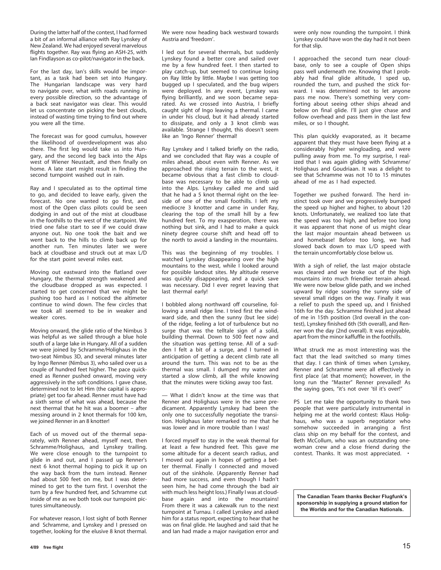During the latter half of the contest, I had formed a bit of an informal alliance with Ray Lynskey of New Zealand. We had enjoyed several marvelous flights together. Ray was flying an ASH-25, with Ian Findlayson as co-pilot/navigator in the back.

For the last day, Ian's skills would be important, as a task had been set into Hungary. The Hungarian landscape was very hard to navigate over, what with roads running in every possible direction, so the advantage of a back seat navigator was clear. This would let us concentrate on picking the best clouds, instead of wasting time trying to find out where you were all the time.

The forecast was for good cumulus, however the likelihood of overdevelopment was also there. The first leg would take us into Hungary, and the second leg back into the Alps west of Wiener Neustadt, and then finally on home. A late start might result in finding the second turnpoint washed out in rain.

Ray and I speculated as to the optimal time to go, and decided to leave early, given the forecast. No one wanted to go first, and most of the Open class pilots could be seen dodging in and out of the mist at cloudbase in the foothills to the west of the startpoint. We tried one false start to see if we could draw anyone out. No one took the bait and we went back to the hills to climb back up for another run. Ten minutes later we were back at cloudbase and struck out at max L/D for the start point several miles east.

Moving out eastward into the flatland over Hungary, the thermal strength weakened and the cloudbase dropped as was expected. I started to get concerned that we might be pushing too hard as I noticed the altimeter continue to wind down. The few circles that we took all seemed to be in weaker and weaker cores.

Moving onward, the glide ratio of the Nimbus 3 was helpful as we sailed through a blue hole south of a large lake in Hungary. All of a sudden we were joined by Schramme/Holighaus in the two-seat Nimbus 3D, and several minutes later by Ingo Renner (Nimbus 3), who sailed over us a couple of hundred feet higher. The pace quickened as Renner pushed onward, moving very aggressively in the soft conditions. Loave chase, determined not to let Him (the capital is appropriate) get too far ahead. Renner must have had a sixth sense of what was ahead, because the next thermal that he hit was a boomer – after messing around in 2 knot thermals for 100 km, we joined Renner in an 8 knotter!

Each of us moved out of the thermal separately, with Renner ahead, myself next, then Schramme/Holighaus, and Lynskey trailing. We were close enough to the turnpoint to glide in and out, and I passed up Renner's next 6 knot thermal hoping to pick it up on the way back from the turn instead. Renner had about 500 feet on me, but I was determined to get to the turn first. I overshot the turn by a few hundred feet, and Schramme cut inside of me as we both took our turnpoint pictures simultaneously.

For whatever reason, I lost sight of both Renner and Schramme, and Lynskey and I pressed on together, looking for the elusive 8 knot thermal.

I led out for several thermals, but suddenly Lynskey found a better core and sailed over me by a few hundred feet. I then started to play catch-up, but seemed to continue losing on Ray little by little. Maybe I was getting too bugged up I speculated, and the bug wipers were deployed. In any event, Lynskey was flying brilliantly, and we soon became separated. As we crossed into Austria, I briefly caught sight of Ingo leaving a thermal. I came in under his cloud, but it had already started to dissipate, and only a 3 knot climb was available. Strange I thought, this doesn't seem like an 'Ingo Renner' thermal!

Ray Lynskey and I talked briefly on the radio, and we concluded that Ray was a couple of miles ahead, about even with Renner. As we approached the rising terrain to the west, it became obvious that a fast climb to cloudbase was necessary to be able to climb up into the Alps. Lynskey called me and said that he had a 5 knot thermal right on the leeside of one of the small foothills. I left my mediocre 3 knotter and came in under Ray, clearing the top of the small hill by a few hundred feet. To my exasperation, there was nothing but sink, and I had to make a quick ninety degree course shift and head off to the north to avoid a landing in the mountains.

This was the beginning of my troubles. I watched Lynskey disappearing over the high mountains to the west, while I looked around for possible landout sites. My altitude reserve was quickly disappearing, and a quick save was necessary. Did I ever regret leaving that last thermal early!

I bobbled along northward off courseline, following a small ridge line. I tried first the windward side, and then the sunny (but lee side) of the ridge, feeling a lot of turbulence but no surge that was the telltale sign of a solid, building thermal. Down to 500 feet now and the situation was getting tense. All of a sudden I felt a bit of a surge, and I turned in anticipation of getting a decent climb rate all around the turn. This was not to be as the thermal was small. I dumped my water and started a slow climb, all the while knowing that the minutes were ticking away too fast.

— What I didn't know at the time was that Renner and Holighaus were in the same predicament. Apparently Lynskey had been the only one to successfully negotiate the transition. Holighaus later remarked to me that he was lower and in more trouble than I was!

I forced myself to stay in the weak thermal for at least a few hundred feet. This gave me some altitude for a decent search radius, and I moved out again in hopes of getting a better thermal. Finally I connected and moved out of the sinkhole. (Apparently Renner had had more success, and even though I hadn't seen him, he had come through the bad air with much less height loss.) Finally I was at cloudbase again and into the mountains! From there it was a cakewalk run to the next turnpoint at Turnau. I called Lynskey and asked him for a status report, expecting to hear that he was on final glide. He laughed and said that he and Ian had made a major navigation error and

were only now rounding the turnpoint. I think Lynskey could have won the day had it not been for that slip.

I approached the second turn near cloudbase, only to see a couple of Open ships pass well underneath me. Knowing that I probably had final glide altitude, I sped up, rounded the turn, and pushed the stick forward. I was determined not to let anyone pass me now. There's something very comforting about seeing other ships ahead and below on final glide. I'll just give chase and follow overhead and pass them in the last few miles, or so I thought.

This plan quickly evaporated, as it became apparent that they must have been flying at a considerably higher wingloading, and were pulling away from me. To my surprise, I realized that I was again gliding with Schramme/ Holighaus and Goudriaan. It was a delight to see that Schramme was not 10 to 15 minutes ahead of me as I had expected.

Together we pushed forward. The herd instinct took over and we progressively bumped the speed up higher and higher, to about 120 knots. Unfortunately, we realized too late that the speed was too high, and before too long it was apparent that none of us might clear the last major mountain ahead between us and homebase! Before too long, we had slowed back down to max L/D speed with the terrain uncomfortably close below us.

With a sigh of relief, the last major obstacle was cleared and we broke out of the high mountains into much friendlier terrain ahead. We were now below glide path, and we inched upward by ridge soaring the sunny side of several small ridges on the way. Finally it was a relief to push the speed up, and I finished 16th for the day. Schramme finished just ahead of me in 15th position (3rd overall in the contest), Lynskey finished 6th (5th overall), and Renner won the day (2nd overall). It was enjoyable, apart from the minor kaffuffle in the foothills.

What struck me as most interesting was the fact that the lead switched so many times that day. I can think of times when Lynskey, Renner and Schramme were all effectively in first place (at that moment); however, in the long run the "Master" Renner prevailed! As the saying goes, "it's not over 'til it's over!"

PS Let me take the opportunity to thank two people that were particularly instrumental in helping me at the world contest: Klaus Holighaus, who was a superb negotiator who somehow succeeded in arranging a first class ship on my behalf for the contest, and Beth McCollum, who was an outstanding onewoman crew and a close friend during the contest. Thanks. It was most appreciated. •

**The Canadian Team thanks Becker Flugfunk's sponsorship in supplying a ground station for the Worlds and for the Canadian Nationals.**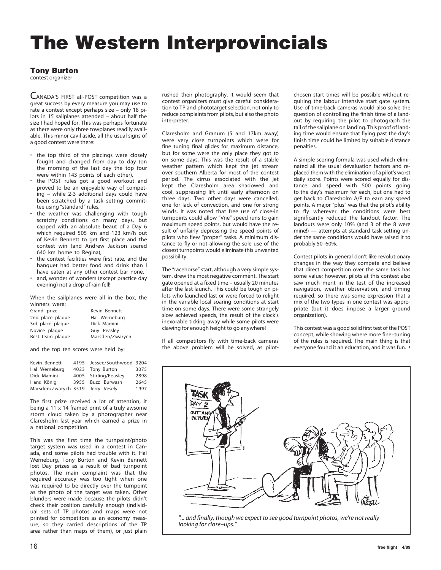# **The Western Interprovincials**

#### **Tony Burton**

contest organizer

CANADA'S FIRST all-POST competition was a great success by every measure you may use to rate a contest except perhaps size – only 18 pilots in 15 sailplanes attended – about half the size I had hoped for. This was perhaps fortunate as there were only three towplanes readily available. This minor cavil aside, all the usual signs of a good contest were there:

- the top third of the placings were closely fought and changed from day to day (on the morning of the last day the top four were within 143 points of each other),
- the POST rules got a good workout and proved to be an enjoyable way of competing – while 2-3 additional days could have been scratched by a task setting committee using "standard" rules,
- the weather was challenging with tough scratchy conditions on many days, but capped with an absolute beaut of a Day 6 which required 505 km and 123 km/h out of Kevin Bennett to get first place and the contest win (and Andrew Jackson soared 640 km home to Regina),
- the contest facilities were first rate, and the banquet had better food and drink than I have eaten at any other contest bar none,
- and, wonder of wonders (except practice day evening) not a drop of rain fell!

When the sailplanes were all in the box, the winners were:

| Grand prize:     | Kevin Bennett   |
|------------------|-----------------|
| 2nd place plaque | Hal Werneburg   |
| 3rd place plaque | Dick Mamini     |
| Novice plaque    | Guy Peasley     |
| Best team plaque | Marsden/Zwarych |

and the top ten scores were held by:

| Kevin Bennett                     | 4195 Jessee/Southwood 3204 |      |
|-----------------------------------|----------------------------|------|
| Hal Werneburg                     | 4023 Tony Burton           | 3075 |
| Dick Mamini                       | 4005 Stirling/Peasley      | 2898 |
| Hans König                        | 3955 Buzz Burwash          | 2645 |
| Marsden/Zwarych 3519 Jerry Vesely |                            | 1997 |

The first prize received a lot of attention, it being a 11 x 14 framed print of a truly awsome storm cloud taken by a photographer near Claresholm last year which earned a prize in a national competition.

This was the first time the turnpoint/photo target system was used in a contest in Canada, and some pilots had trouble with it. Hal Werneburg, Tony Burton and Kevin Bennett lost Day prizes as a result of bad turnpoint photos. The main complaint was that the required accuracy was too tight when one was required to be directly over the turnpoint as the photo of the target was taken. Other blunders were made because the pilots didn't check their position carefully enough (individual sets of TP photos and maps were not printed for competitors as an economy measure, so they carried descriptions of the TP area rather than maps of them), or just plain

rushed their photography. It would seem that contest organizers must give careful consideration to TP and phototarget selection, not only to reduce complaints from pilots, but also the photo interpreter.

Claresholm and Granum (5 and 17km away) were very close turnpoints which were for fine tuning final glides for maximum distance, but for some were the only place they got to on some days. This was the result of a stable weather pattern which kept the jet stream over southern Alberta for most of the contest period. The cirrus associated with the jet kept the Claresholm area shadowed and cool, suppressing lift until early afternoon on three days. Two other days were cancelled, one for lack of convection, and one for strong winds. It was noted that free use of close-in turnpoints could allow "Vne" speed runs to gain maximum speed points, but would have the result of unfairly depressing the speed points of pilots who flew "proper" tasks. A minimum distance to fly or not allowing the sole use of the closest turnpoints would eliminate this unwanted possibility.

The "racehorse" start, although a very simple system, drew the most negative comment. The start gate opened at a fixed time – usually 20 minutes after the last launch. This could be tough on pilots who launched last or were forced to relight in the variable local soaring conditions at start time on some days. There were some strangely slow achieved speeds, the result of the clock's inexorable ticking away while some pilots were clawing for enough height to go anywhere!

If all competitors fly with time-back cameras the above problem will be solved, as pilotchosen start times will be possible without requiring the labour intensive start gate system. Use of time-back cameras would also solve the question of controlling the finish time of a landout by requiring the pilot to photograph the tail of the sailplane on landing. This proof of landing time would ensure that flying past the day's finish time could be limited by suitable distance penalties.

A simple scoring formula was used which eliminated all the usual devaluation factors and replaced them with the elimination of a pilot's worst daily score. Points were scored equally for distance and speed with 500 points going to the day's maximum for each, but one had to get back to Claresholm A/P to earn any speed points. A major "plus" was that the pilot's ability to fly wherever the conditions were best significantly reduced the landout factor. The landouts were only 10% (and 3 of the 8 were mine!) — attempts at standard task setting under the same conditions would have raised it to probably 50–60%.

Contest pilots in general don't like revolutionary changes in the way they compete and believe that direct competition over the same task has some value; however, pilots at this contest also saw much merit in the test of the increased navigation, weather observation, and timing required, so there was some expression that a mix of the two types in one contest was appropriate (but it does impose a larger ground organization).

This contest was a good solid first test of the POST concept, while showing where more fine–tuning of the rules is required. The main thing is that everyone found it an education, and it was fun. •



*<sup>&</sup>quot;... and finally, though we expect to see good turnpoint photos, we're not really looking for close–ups."*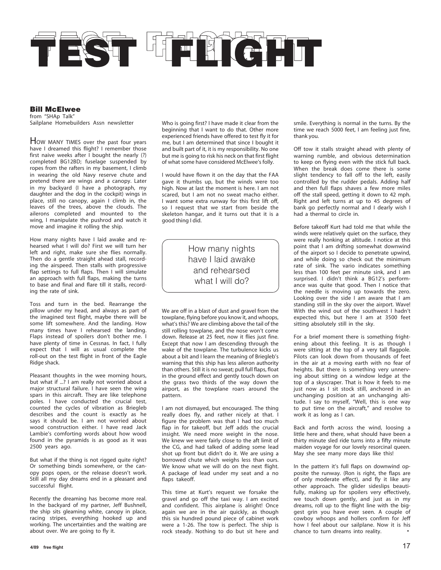

**Bill McElwee** from "SHAp Talk" Sailplane Homebuilders Assn newsletter

HOW MANY TIMES over the past four years have I dreamed this flight? I remember those first naive weeks after I bought the nearly (?) completed BG12BD; fuselage suspended by ropes from the rafters in my basement, I climb in wearing the old Navy reserve chute and pretend there are wings and a canopy. Later in my backyard (I have a photograph, my daughter and the dog in the cockpit) wings in place, still no canopy, again I climb in, the leaves of the trees, above the clouds. The ailerons completed and mounted to the wing, I manipulate the pushrod and watch it move and imagine it rolling the ship.

How many nights have I laid awake and rehearsed what I will do? First we will turn her left and right, make sure she flies normally. Then do a gentle straight ahead stall, recording the airspeed. Then stalls with progressive flap settings to full flaps. Then I will simulate an approach with full flaps, making the turns to base and final and flare till it stalls, recording the rate of sink.

Toss and turn in the bed. Rearrange the pillow under my head, and always as part of the imagined test flight, maybe there will be some lift somewhere. And the landing. How many times have I rehearsed the landing. Flaps instead of spoilers don't bother me. I have plenty of time in Cessnas. In fact, I fully expect that I will as usual complete the roll-out on the test flight in front of the Eagle Ridge shack.

Pleasant thoughts in the wee morning hours, but what if ...? I am really not worried about a major structural failure. I have seen the wing spars in this aircraft. They are like telephone poles. I have conducted the crucial test, counted the cycles of vibration as Briegleb describes and the count is exactly as he says it should be. I am not worried about wood construction either. I have read Jack Lambie's comforting words about how wood found in the pyramids is as good as it was 2500 years ago.

But what if the thing is not rigged quite right? Or something binds somewhere, or the canopy pops open, or the release doesn't work. Still all my day dreams end in a pleasant and successful flight.

Recently the dreaming has become more real. In the backyard of my partner, Jeff Bushnell, the ship sits gleaming white, canopy in place, racing stripes, everything hooked up and working. The uncertainties and the waiting are about over. We are going to fly it.

Who is going first? I have made it clear from the beginning that I want to do that. Other more experienced friends have offered to test fly it for me, but I am determined that since I bought it and built part of it, it is my responsibility. No one but me is going to risk his neck on that first flight of what some have considered McElwee's folly.

I would have flown it on the day that the FAA gave it thumbs up, but the winds were too high. Now at last the moment is here. I am not scared, but I am not no sweat macho either. I want some extra runway for this first lift off, so I request that we start from beside the skeleton hangar, and it turns out that it is a good thing I did.

> How many nights have I laid awake and rehearsed what I will do?

We are off in a blast of dust and gravel from the towplane, flying before you know it, and whoops, what's this? We are climbing above the tail of the still rolling towplane, and the nose won't come down. Release at 25 feet, now it flies just fine. Except that now I am descending through the wake of the towplane. The turbulence kicks us about a bit and I learn the meaning of Briegleb's warning that this ship has less aileron authority than others. Still it is no sweat; pull full flaps, float in the ground effect and gently touch down on the grass two thirds of the way down the airport, as the towplane roars around the pattern.

I am not dismayed, but encouraged. The thing really does fly, and rather nicely at that. I figure the problem was that I had too much flap in for takeoff, but Jeff adds the crucial insight. We need more weight in the nose. We knew we were fairly close to the aft limit of the CG, and had talked of adding some lead shot up front but didn't do it. We are using a borrowed chute which weighs less than ours. We know what we will do on the next flight. A package of lead under my seat and a no flaps takeoff.

This time at Kurt's request we forsake the gravel and go off the taxi way. I am excited and confident. This airplane is alright! Once again we are in the air quickly, as though this six hundred pound piece of cabinet work were a 1-26. The tow is perfect. The ship is rock steady. Nothing to do but sit here and

smile. Everything is normal in the turns. By the time we reach 5000 feet, I am feeling just fine, thank you.

Off tow it stalls straight ahead with plenty of warning rumble, and obvious determination to keep on flying even with the stick full back. When the break does come there is some slight tendency to fall off to the left, easily controlled by the rudder pedals. Adding half and then full flaps shaves a few more miles off the stall speed, getting it down to 42 mph. Right and left turns at up to 45 degrees of bank go perfectly normal and I dearly wish I had a thermal to circle in.

Before takeoff Kurt had told me that while the winds were relatively quiet on the surface, they were really honking at altitude. I notice at this point that I am drifting somewhat downwind of the airport so I decide to penetrate upwind, and while doing so check out the minimum rate of sink. The vario indicates something less than 100 feet per minute sink, and I am surprised. I didn't think a BG12's performance was quite that good. Then I notice that the needle is moving up towards the zero. Looking over the side I am aware that I am standing still in the sky over the airport. Wave! With the wind out of the southwest I hadn't expected this, but here I am at 3500 feet sitting absolutely still in the sky.

For a brief moment there is something frightening about this feeling. It is as though I were sitting at the top of a very tall flagpole. Pilots can look down from thousands of feet in the air at a moving earth with no fear of heights. But there is something very unnerving about sitting on a window ledge at the top of a skyscraper. That is how it feels to me just now as I sit stock still, anchored in an unchanging position at an unchanging altitude. I say to myself, "Well, this is one way to put time on the aircraft," and resolve to work it as long as I can.

Back and forth across the wind, loosing a little here and there, what should have been a thirty minute sled ride turns into a fifty minute maiden voyage for our lovely resorcinal queen. May she see many more days like this!

In the pattern it's full flaps on downwind opposite the runway. (Ron is right, the flaps are of only moderate effect), and fly it like any other approach. The glider sideslips beautifully, making up for spoilers very effectively, we touch down gently, and just as in my dreams, roll up to the flight line with the biggest grin you have ever seen. A couple of cowboy whoops and hollers confirm for Jeff how I feel about our sailplane. Now it is his chance to turn dreams into reality.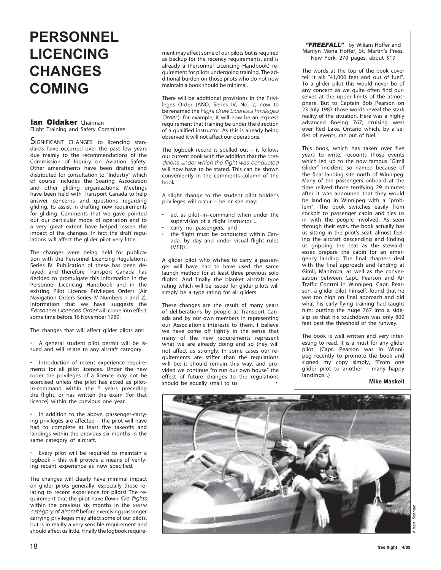## **PERSONNEL LICENCING CHANGES COMING**

## **Ian Oldaker**, Chairman

Flight Training and Safety Committee

SIGNIFICANT CHANGES to licencing standards have occurred over the past few years due mainly to the recommendations of the Commission of Inquiry on Aviation Safety. Other amendments have been drafted and distributed for consultation to "Industry" which of course includes the Soaring Association and other gliding organizations. Meetings have been held with Transport Canada to help answer concerns and questions regarding gliding, to assist in drafting new requirements for gliding. Comments that we gave pointed out our particular mode of operation and to a very great extent have helped lessen the impact of the changes. In fact the draft regulations will affect the glider pilot very little.

The changes were being held for publication with the Personnel Licencing Regulations, Series IV. Publication of these has been delayed, and therefore Transport Canada has decided to promulgate this information in the Personnel Licencing Handbook and in the existing Pilot Licence Privileges Orders (Air Navigation Orders Series IV Numbers 1 and 2). Information that we have suggests the Personnel Licences Order will come into effect some time before 16 November 1989.

The changes that will affect glider pilots are:

• A general student pilot permit will be issued and will relate to any aircraft category.

• Introduction of recent experience requirements for all pilot licences. Under the new order the privileges of a licence may not be exercised unless the pilot has acted as pilotin-command within the 5 years preceding the flight, or has written the exam (for that licence) within the previous one year.

• In addition to the above, passenger-carrying privileges are affected – the pilot will have had to complete at least five takeoffs and landings within the previous six months in the same category of aircraft.

• Every pilot will be required to maintain a logbook – this will provide a means of verifying recent experience as now specified.

The changes will clearly have minimal impact on glider pilots generally, especially those relating to recent experience for pilots! The requirement that the pilot have flown five flights within the previous six months in the same category of aircraft before exercising passenger carrying privileges may affect some of our pilots, but is in reality a very sensible requirement and should affect us little. Finally the logbook requirement may affect some of our pilots but is required as backup for the recency requirements, and is already a (Personnel Licencing Handbook) requirement for pilots undergoing training. The additional burden on those pilots who do not now maintain a book should be minimal.

There will be additional provisions in the Privileges Order (ANO, Series IV, No. 2, now to be renamed the Flight Crew Licences Privileges Order); for example, it will now be an express requirement that training be under the direction of a qualified instructor. As this is already being observed it will not affect our operations.

The logbook record is spelled out – it follows our current book with the addition that the conditions under which the flight was conducted will now have to be stated. This can be shown conveniently in the comments column of the book.

A slight change to the student pilot holder's privileges will occur – he or she may:

- act as pilot-in-command when under the supervision of a flight instructor ...
- carry no passengers, and
- the flight must be conducted within Canada, by day and under visual flight rules (VFR).

A glider pilot who wishes to carry a passenger will have had to have used the same launch method for at least three previous solo flights. And finally the blanket aircraft type rating which will be issued for glider pilots will simply be a type rating for all gliders.

These changes are the result of many years of deliberations by people at Transport Canada and by our own members in representing our Association's interests to them. I believe we have come off lightly in the sense that many of the new requirements represent what we are already doing and so they will not affect us strongly. In some cases our requirements are stiffer than the regulations will be; it should remain this way, and provided we continue "to run our own house" the effect of future changes to the regulations should be equally small to us.

**"FREEFALL"** by Wiliam Hoffer and Marilyn Mona Hoffer, St. Martin's Press, New York, 270 pages, about \$19

The words at the top of the book cover tell it all: "41,000 feet and out of fuel". To a glider pilot this would never be of any concern as we quite often find ourselves at the upper limits of the atmosphere. But to Captain Bob Pearson on 23 July 1983 those words reveal the stark reality of the situation. Here was a highly advanced Boeing 767, cruising west over Red Lake, Ontario which, by a series of events, ran out of fuel.

This book, which has taken over five years to write, recounts those events which led up to the now famous "Gimli Glider" incident, so named because of the final landing site north of Winnipeg. Many of the passengers onboard at the time relived those terrifying 29 minutes after it was announed that they would be landing in Winnipeg with a "problem". The book switches easily from cockpit to passenger cabin and ties us in with the people involved. As seen through their eyes, the book actually has us sitting in the pilot's seat, almost feeling the aircraft descending and finding us gripping the seat as the stewardesses prepare the cabin for an emergency landing. The final chapters deal with the final approach and landing at Gimli, Manitoba, as well as the conversation between Capt. Pearson and Air Traffic Control in Winnipeg. Capt. Pearson, a glider pilot himself, found that he was too high on final approach and did what his early flying training had taught him: putting the huge 767 into a sideslip so that his touchdown was only 800 feet past the threshold of the runway.

The book is well written and very interesting to read. It is a must for any glider pilot. (Capt. Pearson was in Winnipeg recently to promote the book and signed my copy simply, "From one glider pilot to another – many happy landings".)

#### **Mike Maskell**

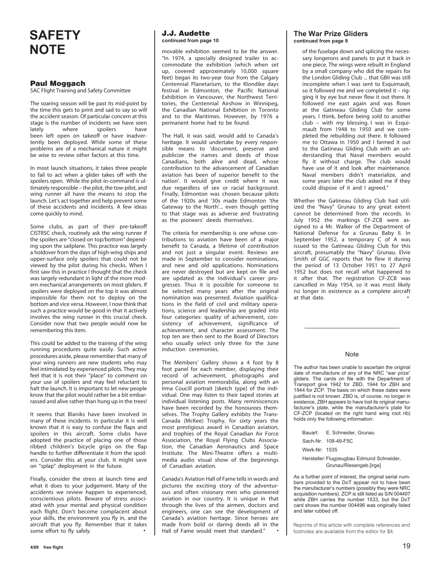## **SAFETY NOTE**

#### **Paul Moggach**

SAC Flight Training and Safety Committee

The soaring season will be past its mid-point by the time this gets to print and sad to say so will the accident season. Of particular concern at this stage is the number of incidents we have seen<br>lately where spoilers have lately where spoilers have been left open on takeoff or have inadvertently been deployed. While some of these problems are of a mechanical nature it might be wise to review other factors at this time.

In most launch situations, it takes three people to fail to act when a glider takes off with the spoilers open. While the pilot-in-command is ultimately responsible – the pilot, the tow-pilot, and wing runner all have the means to stop the launch. Let's act together and help prevent some of these accidents and incidents. A few ideas come quickly to mind.

Some clubs, as part of their pre-takeoff CISTRSC check, routinely ask the wing runner if the spoilers are "closed on top/bottom" depending upon the sailplane. This practice was largely a holdover from the days of high-wing ships and upper-surface only spoilers that could not be viewed by the pilot during his checks. When I first saw this in practice I thought that the check was largely redundant in light of the more modern mechanical arrangements on most gliders. If spoilers were deployed on the top it was almost impossible for them not to deploy on the bottom and vice versa. However, I now think that such a practice would be good in that it actively involves the wing runner in this crucial check. Consider now that two people would now be remembering this item.

This could be added to the training of the wing running procedures quite easily. Such active procedures aside, please remember that many of your wing runners are new students who may feel intimidated by experienced pilots. They may feel that it is not their "place" to comment on your use of spoilers and may feel reluctant to halt the launch. It is important to let new people know that the pilot would rather be a bit embarrassed and alive rather than hung up in the trees!

It seems that Blaniks have been involved in many of these incidents. In particular it is well known that it is easy to confuse the flaps and spoilers in this aircraft. Some clubs have adopted the practice of placing one of those ribbed children's bicycle grips on the flap handle to further differentiate it from the spoilers. Consider this at your club. It might save on "splap" deployment in the future.

Finally, consider the stress at launch time and what it does to your judgement. Many of the accidents we review happen to experienced, conscientious pilots. Beware of stress associated with your mental and physical condition each flight. Don't become complacent about your skills, the environment you fly in, and the aircraft that you fly. Remember that it takes some effort to fly safely.

#### **J.J. Audette continued from page 10**

movable exhibition seemed to be the answer. "In 1974, a specially designed trailer to accommodate the exhibition (which when set up, covered approximately 10,000 square feet) began its two-year tour from the Calgary Centennial Planetarium, to the Klondike days festival in Edmonton, the Pacific National Exhibition in Vancouver, the Northwest Territories, the Centennial Airshow in Winnipeg, the Canadian National Exhibition in Toronto and to the Maritimes. However, by 1976 a permanent home had to be found.

The Hall, it was said, would add to Canada's heritage. It would undertake by every responsible means to 'document, preserve and publicize the names and deeds of those Canadians, both alive and dead, whose contribution to the advancement of Canadian aviation has been of superior benefit to the nation'. It would give credit where it was due regardless of sex or racial background. Finally, Edmonton was chosen because pilots of the 1920s and '30s made Edmonton 'the Gateway to the North'... even though getting to that stage was as adverse and frustrating as the pioneers' deeds themselves.

The criteria for membership is one whose contributions to aviation have been of a major benefit to Canada, a lifetime of contribution and not just a singular event. Reviews are made in September to consider nominations, and new and old applications. Nominations are never destroyed but are kept on file and are updated as the individual's career progresses. Thus it is possible for someone to be selected many years after the original nomination was presented. Aviation qualifications in the field of civil and military operations, science and leadership are graded into four categories: quality of achievement, consistency of achievement, significance of achievement, and character assessment. The top ten are then sent to the Board of Directors who usually select only three for the June induction ceremonies.

The Members' Gallery shows a 4 foot by 8 foot panel for each member, displaying their record of achievement, photographs and personal aviation memorabilia, along with an Irma Coucill portrait [sketch type] of the individual. One may listen to their taped stories at individual listening posts. Many reminiscences have been recorded by the honourees themselves. The Trophy Gallery exhibits the Trans-Canada (McKee) Trophy, for sixty years the most prestigious award in Canadian aviation, and trophies of the Royal Canadian Air Force Association, the Royal Flying Clubs Association, the Canadian Aeronautics and Space Institute. The Mini-Theatre offers a multimedia audio visual show of the beginnings of Canadian aviation.

Canada's Aviation Hall of Fame tells in words and pictures the exciting story of the adventurous and often visionary men who pioneered aviation in our country. It is unique in that through the lives of the airmen, doctors and engineers, one can see the development of Canada's aviation heritage. Since heroes are made from bold or daring deeds all in the Hall of Fame would meet that standard." •

#### **The War Prize Gliders continued from page 9**

of the fuselage down and splicing the necessary longerons and panels to put it back in one piece. The wings were rebuilt in England by a small company who did the repairs for the London Gliding Club ... that GBII was still incomplete when I was sent to Esquimault, so it followed me and we completed it – rigging it by eye but never flew it out there. It followed me east again and was flown at the Gatineau Gliding Club for some years, I think, before being sold to another club – with my blessing. I was in Esquimault from 1948 to 1950 and we completed the rebuilding out there. It followed me to Ottawa in 1950 and I farmed it out to the Gatineau Gliding Club with an understanding that Naval members would fly it without charge. The club would have use of it and look after maintenance. Naval members didn't materialize, and some years later the club asked me if they could dispose of it and I agreed."

Whether the Gatineau Gliding Club had utilized the "Navy" Grunau to any great extent cannot be determined from the records. In July 1952 the markings CF-ZCB were assigned to a Mr. Walker of the Department of National Defense for a Grunau Baby II. In September 1952, a temporary C of A was issued to the Gatineau Gliding Club for this aircraft, presumably the "Navy" Grunau. Elvie Smith of GGC reports that he flew it during the period of 13 October 1951 to 27 April 1952 but does not recall what happened to it after that. The registration CF-ZCB was cancelled in May 1954, so it was most likely no longer in existence as a complete aircraft at that date.

#### **Note**

The author has been unable to ascertain the original date of manufacture of any of the NRC "war prize" gliders. The cards on file with the Department of Transport give 1942 for ZBD, 1944 for ZBH and 1944 for ZCP. The basis on which these dates were justified is not known. ZBD is, of course, no longer in existence, ZBH appears to have lost its original manufacturer's plate, while the manufacturer's plate for CF-ZCP (located on the right hand wing root rib) holds only the following information:

Bauart: E. Schneider, Grunau

Sach-Nr: 108-49-F5C

Werk-Nr: 1535

Hersteller: Flugzeugbau Edmund Schneider, Grunau/Riesengeb.[irge]

As a further point of interest, the original serial numbers provided to the DoT appear not to have been the manufacturer's numbers (possibly they were NRC acquisition numbers). ZCP is still listed as S/N 004497 while ZBH carries the number 1533, but the DoT card shows the number 004496 was originally listed and later rubbed off.

Reprints of this article with complete references and footnotes are available from the editor for \$4.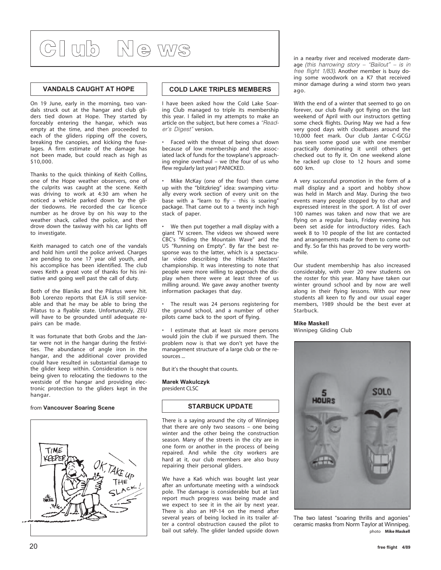# **Cl ub Ne ws**

#### **VANDALS CAUGHT AT HOPE**

On 19 June, early in the morning, two vandals struck out at the hangar and club gliders tied down at Hope. They started by forceably entering the hangar, which was empty at the time, and then proceeded to each of the gliders ripping off the covers, breaking the canopies, and kicking the fuselages. A firm estimate of the damage has not been made, but could reach as high as \$10,000.

Thanks to the quick thinking of Keith Collins, one of the Hope weather observers, one of the culprits was caught at the scene. Keith was driving to work at 4:30 am when he noticed a vehicle parked down by the glider tiedowns. He recorded the car licence number as he drove by on his way to the weather shack, called the police, and then drove down the taxiway with his car lights off to investigate.

Keith managed to catch one of the vandals and hold him until the police arrived. Charges are pending to one 17 year old youth, and his accomplice has been identified. The club owes Keith a great vote of thanks for his initiative and going well past the call of duty.

Both of the Blaniks and the Pilatus were hit. Bob Lorenzo reports that EJA is still serviceable and that he may be able to bring the Pilatus to a flyable state. Unfortunately, ZEU will have to be grounded until adequate repairs can be made.

It was fortunate that both Grobs and the Jantar were not in the hangar during the festivities. The abundance of angle iron in the hangar, and the additional cover provided could have resulted in substantial damage to the glider keep within. Consideration is now being given to relocating the tiedowns to the westside of the hangar and providing electronic protection to the gliders kept in the hangar.

#### from **Vancouver Soaring Scene**



#### **COLD LAKE TRIPLES MEMBERS**

I have been asked how the Cold Lake Soaring Club managed to triple its membership this year. I failed in my attempts to make an article on the subject, but here comes a "Reader's Digest" version.

Faced with the threat of being shut down because of low membership and the associated lack of funds for the towplane's approaching engine overhaul – we (the four of us who flew regularly last year) PANICKED.

• Mike McKay (one of the four) then came up with the "blitzkrieg" idea: swamping virtually every work section of every unit on the base with a "learn to fly – this is soaring" package. That came out to a twenty inch high stack of paper.

• We then put together a mall display with a giant TV screen. The videos we showed were CBC's "Riding the Mountain Wave" and the US "Running on Empty". By far the best response was to the latter, which is a spectacular video describing the Hitachi Masters' championship. It was interesting to note that people were more willing to approach the display when there were at least three of us milling around. We gave away another twenty information packages that day.

The result was 24 persons registering for the ground school, and a number of other pilots came back to the sport of flying.

• I estimate that at least six more persons would join the club if we pursued them. The problem now is that we don't yet have the management structure of a large club or the resources ...

But it's the thought that counts.

**Marek Wakulczyk** president CLSC

#### **STARBUCK UPDATE**

There is a saying around the city of Winnipeg that there are only two seasons – one being winter and the other being the construction season. Many of the streets in the city are in one form or another in the process of being repaired. And while the city workers are hard at it, our club members are also busy repairing their personal gliders.

We have a Ka6 which was bought last year after an unfortunate meeting with a windsock pole. The damage is considerable but at last report much progress was being made and we expect to see it in the air by next year. There is also an HP-14 on the mend after several years of being locked in its trailer after a control obstruction caused the pilot to bail out safely. The glider landed upside down

in a nearby river and received moderate damage (this harrowing story  $-$  "Bailout"  $-$  is in free flight 1/83). Another member is busy doing some woodwork on a K7 that received minor damage during a wind storm two years ago.

With the end of a winter that seemed to go on forever, our club finally got flying on the last weekend of April with our instructors getting some check flights. During May we had a few very good days with cloudbases around the 10,000 feet mark. Our club Jantar C-GCGJ has seen some good use with one member practically dominating it until others get checked out to fly it. On one weekend alone he racked up close to 12 hours and some 600 km.

A very successful promotion in the form of a mall display and a sport and hobby show was held in March and May. During the two events many people stopped by to chat and expressed interest in the sport. A list of over 100 names was taken and now that we are flying on a regular basis, Friday evening has been set aside for introductory rides. Each week 8 to 10 people of the list are contacted and arrangements made for them to come out and fly. So far this has proved to be very worthwhile.

Our student membership has also increased considerably, with over 20 new students on the roster for this year. Many have taken our winter ground school and by now are well along in their flying lessons. With our new students all keen to fly and our usual eager members, 1989 should be the best ever at Starbuck.

#### **Mike Maskell**

Winnipeg Gliding Club



The two latest "soaring thrills and agonies" ceramic masks from Norm Taylor at Winnipeg. photo **Mike Maskell**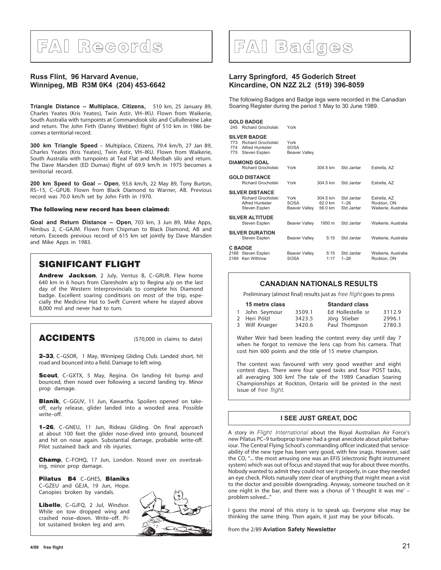# **FAI Records**

#### **Russ Flint, 96 Harvard Avenue, Winnipeg, MB R3M 0K4 (204) 453-6642**

**Triangle Distance – Multiplace, Citizens,** 510 km, 25 January 89, Charles Yeates (Kris Yeates), Twin Astir, VH–IKU. Flown from Waikerie, South Australia with turnpoints at Commandook silo and Cullulleraine Lake and return. The John Firth (Danny Webber) flight of 510 km in 1986 becomes a territorial record.

**300 km Triangle Speed** – Multiplace, Citizens, 79.4 km/h, 27 Jan 89, Charles Yeates (Kris Yeates), Twin Astir, VH–IKU. Flown from Waikerie, South Australia with turnpoints at Teal Flat and Meribah silo and return. The Dave Marsden (ED Dumas) flight of 69.9 km/h in 1975 becomes a territorial record.

**200 km Speed to Goal – Open**, 93.6 km/h, 22 May 89, Tony Burton, RS–15, C–GPUB. Flown from Black Diamond to Warner, AB. Previous record was 70.0 km/h set by John Firth in 1970.

#### **The following new record has been claimed:**

**Goal and Return Distance – Open**, 703 km, 3 Jun 89, Mike Apps, Nimbus 2, C–GAJM. Flown from Chipman to Black Diamond, AB and return. Exceeds previous record of 615 km set jointly by Dave Marsden and Mike Apps in 1983.

### **SIGNIFICANT FLIGHT**

**Andrew Jackson**, 2 July, Ventus B, C–GRUR. Flew home 640 km in 6 hours from Claresholm a/p to Regina a/p on the last day of the Western Interprovincials to complete his Diamond badge. Excellent soaring conditions on most of the trip, especially the Medicine Hat to Swift Current where he stayed above 8,000 msl and never had to turn.

### **ACCIDENTS** (\$70,000 in claims to date)

**2–33**, C–GSOR, 1 May, Winnipeg Gliding Club. Landed short, hit road and bounced into a field. Damage to left wing.

**Scout**, C–GXTX, 5 May, Regina. On landing hit bump and bounced, then nosed over following a second landing try. Minor prop damage.

**Blanik**, C–GGUV, 11 Jun, Kawartha. Spoilers opened on takeoff, early release, glider landed into a wooded area. Possible write–off.

**1–26**, C–GNEU, 11 Jun, Rideau Gliding. On final approach at about 100 feet the glider nose-dived into ground, bounced and hit on nose again. Substantial damage, probable write-off. Pilot sustained back and rib injuries.

**Champ**, C–FOHQ, 17 Jun, London. Nosed over on overbraking, minor prop damage.

**Pilatus B4** C–GHES, **Blaniks** C–GZEU and GEJA, 19 Jun, Hope. Canopies broken by vandals.

**Libelle**, C–GJFQ, 2 Jul, Windsor. While on tow dropped wing and crashed nose–down. Write–off. Pilot sustained broken leg and arm.



## **FAI Badges**

#### **Larry Springford, 45 Goderich Street Kincardine, ON N2Z 2L2 (519) 396-8059**

The following Badges and Badge legs were recorded in the Canadian Soaring Register during the period 1 May to 30 June 1989.

#### **GOLD BADGE**

| 245               | <b>Richard Grocholski</b>                                                               | York                                        |                                |                                      |                                                    |
|-------------------|-----------------------------------------------------------------------------------------|---------------------------------------------|--------------------------------|--------------------------------------|----------------------------------------------------|
| 773<br>774<br>775 | <b>SILVER BADGE</b><br><b>Richard Grocholski</b><br>Alfred Hunkeler<br>Steven Esplen    | York<br><b>SOSA</b><br><b>Beaver Valley</b> |                                |                                      |                                                    |
|                   | <b>DIAMOND GOAL</b><br><b>Richard Grocholski</b>                                        | York                                        | 304.5 km                       | Std Jantar                           | Estrella, AZ                                       |
|                   | <b>GOLD DISTANCE</b><br><b>Richard Grocholski</b>                                       | York                                        | 304.5 km                       | Std Jantar                           | Estrella, AZ                                       |
|                   | <b>SILVER DISTANCE</b><br><b>Richard Grocholski</b><br>Alfred Hunkeler<br>Steven Esplen | York<br><b>SOSA</b><br>Beaver Valley        | 304.5 km<br>62.0 km<br>56.0 km | Std Jantar<br>$1 - 26$<br>Std Jantar | Estrella, AZ<br>Rockton, ON<br>Waikerie, Australia |
|                   | <b>SILVER ALTITUDE</b><br>Steven Esplen                                                 | Beaver Valley                               | 1950 m                         | Std Jantar                           | Waikerie, Australia                                |
|                   | <b>SILVER DURATION</b><br>Steven Esplen                                                 | <b>Beaver Valley</b>                        | 5:15                           | Std Jantar                           | Waikerie, Australia                                |
|                   | C BADGE<br>2168 Steven Esplen<br>2169 Ken Withrow                                       | <b>Beaver Valley</b><br><b>SOSA</b>         | 5:15<br>1:17                   | Std Jantar<br>$1 - 26$               | Waikerie, Australia<br>Rockton, ON                 |
|                   |                                                                                         |                                             |                                |                                      |                                                    |

#### **CANADIAN NATIONALS RESULTS**

Preliminary (almost final) results just as free flight goes to press

| 15 metre class |        | <b>Standard class</b> |        |  |
|----------------|--------|-----------------------|--------|--|
| 1 John Seymour | 3509.1 | Ed Hollestelle sr     | 3112.9 |  |
| 2 Heri Pölzl   | 3423.5 | Jörg Stieber          | 2996.1 |  |
| 3 Wilf Krueger | 3420.6 | Paul Thompson         | 2780.3 |  |

Walter Weir had been leading the contest every day until day 7 when he forgot to remove the lens cap from his camera. That cost him 600 points and the title of 15 metre champion.

The contest was favoured with very good weather and eight contest days. There were four speed tasks and four POST tasks, all averaging 300 km! The tale of the 1989 Canadian Soaring Championships at Rockton, Ontario will be printed in the next issue of free flight.

#### **I SEE JUST GREAT, DOC**

A story in Flight International about the Royal Australian Air Force's new Pilatus PC–9 turboprop trainer had a great anecdote about pilot behaviour. The Central Flying School's commanding officer indicated that serviceability of the new type has been very good, with few snags. However, said the CO, "... the most amusing one was an EFIS (electronic flight instrument system) which was out of focus and stayed that way for about three months. Nobody wanted to admit they could not see it properly, in case they needed an eye check. Pilots naturally steer clear of anything that might mean a visit to the doctor and possible downgrading. Anyway, someone touched on it one night in the bar, and there was a chorus of 'I thought it was me' – problem solved..."

I guess the moral of this story is to speak up. Everyone else may be thinking the same thing. Then again, it just may be your bifocals.

from the 2/89 **Aviation Safety Newsletter**